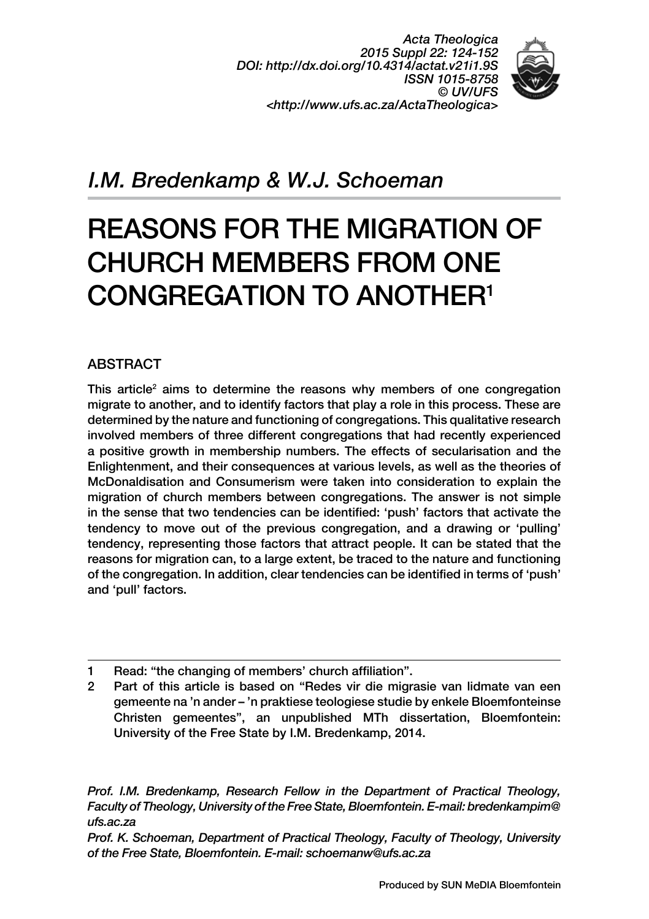*Acta Theologica 2015 Suppl 22: 124-152 DOI: http://dx.doi.org/10.4314/actat.v21i1.9S ISSN 1015-8758 © UV/UFS <http://www.ufs.ac.za/ActaTheologica>*



## *I.M. Bredenkamp & W.J. Schoeman*

# REASONS FOR THE MIGRATION OF CHURCH MEMBERS FROM ONE CONGREGATION TO ANOTHER1

#### **ABSTRACT**

This article<sup>2</sup> aims to determine the reasons why members of one congregation migrate to another, and to identify factors that play a role in this process. These are determined by the nature and functioning of congregations. This qualitative research involved members of three different congregations that had recently experienced a positive growth in membership numbers. The effects of secularisation and the Enlightenment, and their consequences at various levels, as well as the theories of McDonaldisation and Consumerism were taken into consideration to explain the migration of church members between congregations. The answer is not simple in the sense that two tendencies can be identified: 'push' factors that activate the tendency to move out of the previous congregation, and a drawing or 'pulling' tendency, representing those factors that attract people. It can be stated that the reasons for migration can, to a large extent, be traced to the nature and functioning of the congregation. In addition, clear tendencies can be identified in terms of 'push' and 'pull' factors.

*Prof. I.M. Bredenkamp, Research Fellow in the Department of Practical Theology, Faculty of Theology, University of the Free State, Bloemfontein. E-mail: bredenkampim@ ufs.ac.za*

*Prof. K. Schoeman, Department of Practical Theology, Faculty of Theology, University of the Free State, Bloemfontein. E-mail: schoemanw@ufs.ac.za*

<sup>1</sup> Read: "the changing of members' church affiliation".

<sup>2</sup> Part of this article is based on "Redes vir die migrasie van lidmate van een gemeente na 'n ander – 'n praktiese teologiese studie by enkele Bloemfonteinse Christen gemeentes", an unpublished MTh dissertation, Bloemfontein: University of the Free State by I.M. Bredenkamp, 2014.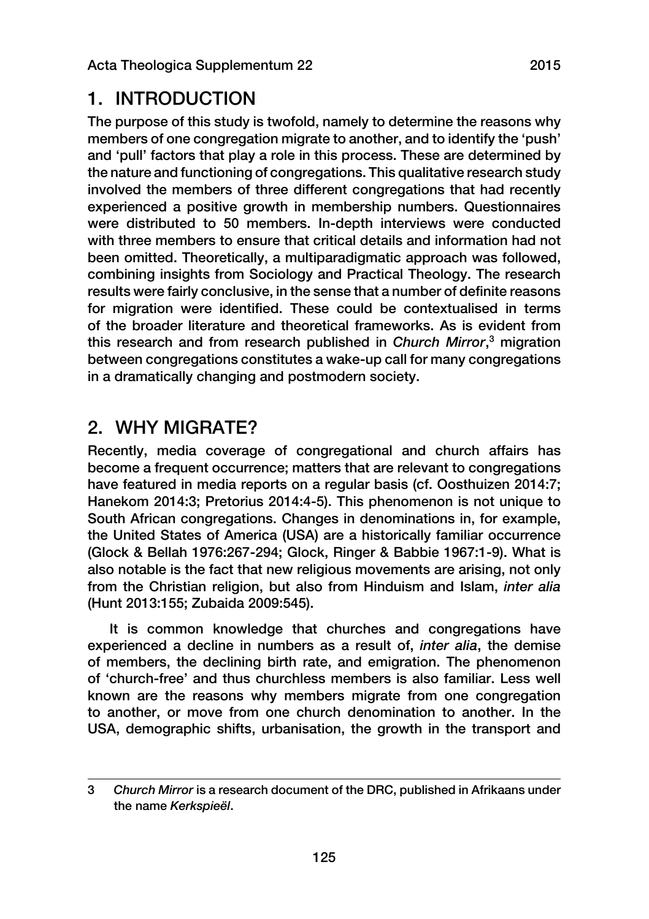### 1. INTRODUCTION

The purpose of this study is twofold, namely to determine the reasons why members of one congregation migrate to another, and to identify the 'push' and 'pull' factors that play a role in this process. These are determined by the nature and functioning of congregations. This qualitative research study involved the members of three different congregations that had recently experienced a positive growth in membership numbers. Questionnaires were distributed to 50 members. In-depth interviews were conducted with three members to ensure that critical details and information had not been omitted. Theoretically, a multiparadigmatic approach was followed, combining insights from Sociology and Practical Theology. The research results were fairly conclusive, in the sense that a number of definite reasons for migration were identified. These could be contextualised in terms of the broader literature and theoretical frameworks. As is evident from this research and from research published in *Church Mirror*, 3 migration between congregations constitutes a wake-up call for many congregations in a dramatically changing and postmodern society.

### 2. WHY MIGRATE?

Recently, media coverage of congregational and church affairs has become a frequent occurrence; matters that are relevant to congregations have featured in media reports on a regular basis (cf. Oosthuizen 2014:7; Hanekom 2014:3; Pretorius 2014:4-5). This phenomenon is not unique to South African congregations. Changes in denominations in, for example, the United States of America (USA) are a historically familiar occurrence (Glock & Bellah 1976:267-294; Glock, Ringer & Babbie 1967:1-9). What is also notable is the fact that new religious movements are arising, not only from the Christian religion, but also from Hinduism and Islam, *inter alia* (Hunt 2013:155; Zubaida 2009:545).

It is common knowledge that churches and congregations have experienced a decline in numbers as a result of, *inter alia*, the demise of members, the declining birth rate, and emigration. The phenomenon of 'church-free' and thus churchless members is also familiar. Less well known are the reasons why members migrate from one congregation to another, or move from one church denomination to another. In the USA, demographic shifts, urbanisation, the growth in the transport and

<sup>3</sup> *Church Mirror* is a research document of the DRC, published in Afrikaans under the name *Kerkspieël*.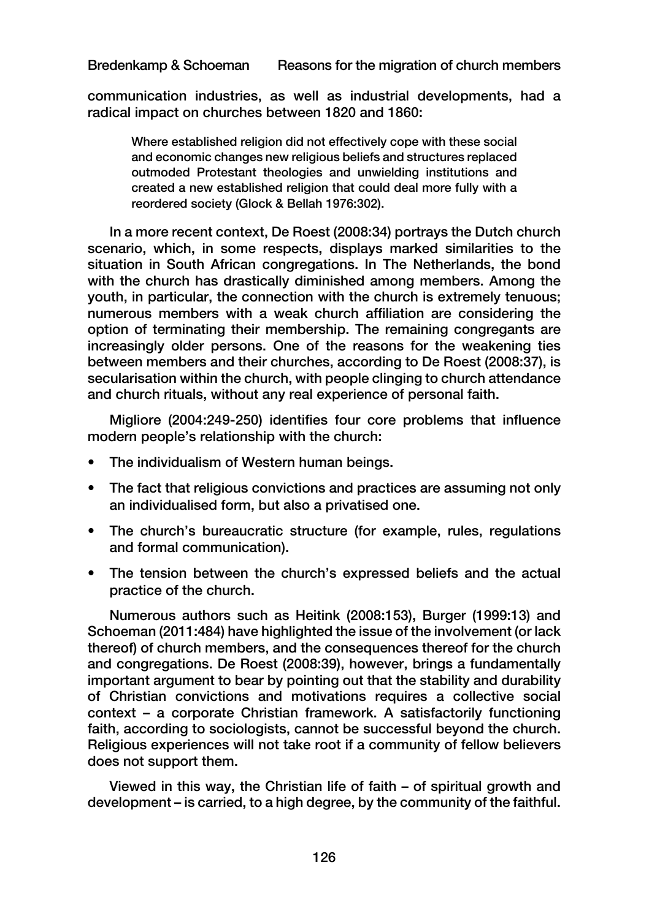communication industries, as well as industrial developments, had a radical impact on churches between 1820 and 1860:

Where established religion did not effectively cope with these social and economic changes new religious beliefs and structures replaced outmoded Protestant theologies and unwielding institutions and created a new established religion that could deal more fully with a reordered society (Glock & Bellah 1976:302).

In a more recent context, De Roest (2008:34) portrays the Dutch church scenario, which, in some respects, displays marked similarities to the situation in South African congregations. In The Netherlands, the bond with the church has drastically diminished among members. Among the youth, in particular, the connection with the church is extremely tenuous; numerous members with a weak church affiliation are considering the option of terminating their membership. The remaining congregants are increasingly older persons. One of the reasons for the weakening ties between members and their churches, according to De Roest (2008:37), is secularisation within the church, with people clinging to church attendance and church rituals, without any real experience of personal faith.

Migliore (2004:249-250) identifies four core problems that influence modern people's relationship with the church:

- The individualism of Western human beings.
- The fact that religious convictions and practices are assuming not only an individualised form, but also a privatised one.
- The church's bureaucratic structure (for example, rules, regulations and formal communication).
- The tension between the church's expressed beliefs and the actual practice of the church.

Numerous authors such as Heitink (2008:153), Burger (1999:13) and Schoeman (2011:484) have highlighted the issue of the involvement (or lack thereof) of church members, and the consequences thereof for the church and congregations. De Roest (2008:39), however, brings a fundamentally important argument to bear by pointing out that the stability and durability of Christian convictions and motivations requires a collective social context – a corporate Christian framework. A satisfactorily functioning faith, according to sociologists, cannot be successful beyond the church. Religious experiences will not take root if a community of fellow believers does not support them.

Viewed in this way, the Christian life of faith – of spiritual growth and development – is carried, to a high degree, by the community of the faithful.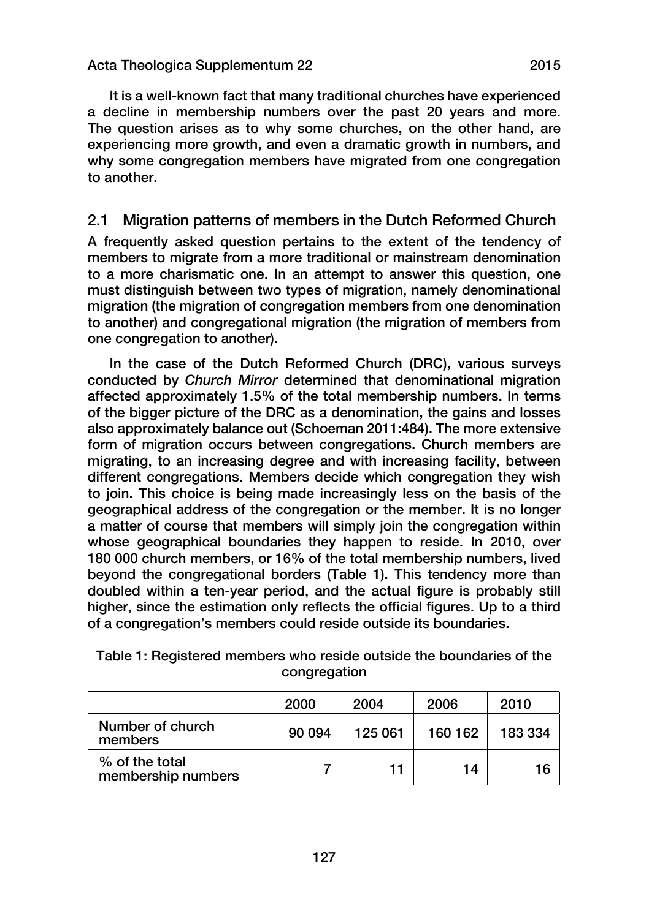It is a well-known fact that many traditional churches have experienced a decline in membership numbers over the past 20 years and more. The question arises as to why some churches, on the other hand, are experiencing more growth, and even a dramatic growth in numbers, and why some congregation members have migrated from one congregation to another.

### 2.1 Migration patterns of members in the Dutch Reformed Church

A frequently asked question pertains to the extent of the tendency of members to migrate from a more traditional or mainstream denomination to a more charismatic one. In an attempt to answer this question, one must distinguish between two types of migration, namely denominational migration (the migration of congregation members from one denomination to another) and congregational migration (the migration of members from one congregation to another).

In the case of the Dutch Reformed Church (DRC), various surveys conducted by *Church Mirror* determined that denominational migration affected approximately 1.5% of the total membership numbers. In terms of the bigger picture of the DRC as a denomination, the gains and losses also approximately balance out (Schoeman 2011:484). The more extensive form of migration occurs between congregations. Church members are migrating, to an increasing degree and with increasing facility, between different congregations. Members decide which congregation they wish to join. This choice is being made increasingly less on the basis of the geographical address of the congregation or the member. It is no longer a matter of course that members will simply join the congregation within whose geographical boundaries they happen to reside. In 2010, over 180 000 church members, or 16% of the total membership numbers, lived beyond the congregational borders (Table 1). This tendency more than doubled within a ten-year period, and the actual figure is probably still higher, since the estimation only reflects the official figures. Up to a third of a congregation's members could reside outside its boundaries.

|                                      | 2000   | 2004    | 2006    | 2010    |
|--------------------------------------|--------|---------|---------|---------|
| Number of church<br>members          | 90 094 | 125 061 | 160 162 | 183 334 |
| % of the total<br>membership numbers |        | 11      | 14      | 16      |

Table 1: Registered members who reside outside the boundaries of the congregation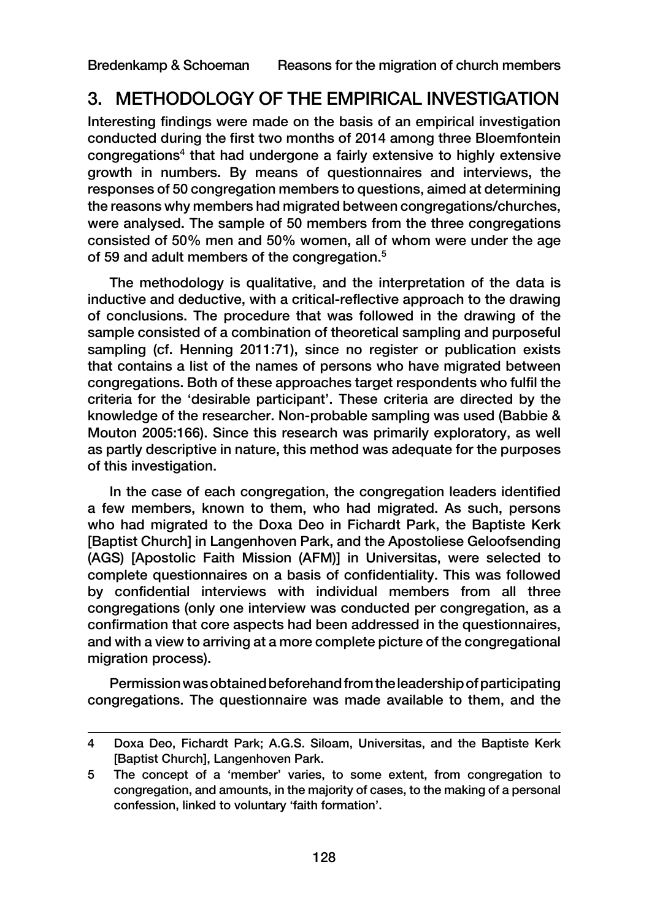### 3. METHODOLOGY OF THE EMPIRICAL INVESTIGATION

Interesting findings were made on the basis of an empirical investigation conducted during the first two months of 2014 among three Bloemfontein congregations<sup>4</sup> that had undergone a fairly extensive to highly extensive growth in numbers. By means of questionnaires and interviews, the responses of 50 congregation members to questions, aimed at determining the reasons why members had migrated between congregations/churches, were analysed. The sample of 50 members from the three congregations consisted of 50% men and 50% women, all of whom were under the age of 59 and adult members of the congregation.<sup>5</sup>

The methodology is qualitative, and the interpretation of the data is inductive and deductive, with a critical-reflective approach to the drawing of conclusions. The procedure that was followed in the drawing of the sample consisted of a combination of theoretical sampling and purposeful sampling (cf. Henning 2011:71), since no register or publication exists that contains a list of the names of persons who have migrated between congregations. Both of these approaches target respondents who fulfil the criteria for the 'desirable participant'. These criteria are directed by the knowledge of the researcher. Non-probable sampling was used (Babbie & Mouton 2005:166). Since this research was primarily exploratory, as well as partly descriptive in nature, this method was adequate for the purposes of this investigation.

In the case of each congregation, the congregation leaders identified a few members, known to them, who had migrated. As such, persons who had migrated to the Doxa Deo in Fichardt Park, the Baptiste Kerk [Baptist Church] in Langenhoven Park, and the Apostoliese Geloofsending (AGS) [Apostolic Faith Mission (AFM)] in Universitas, were selected to complete questionnaires on a basis of confidentiality. This was followed by confidential interviews with individual members from all three congregations (only one interview was conducted per congregation, as a confirmation that core aspects had been addressed in the questionnaires, and with a view to arriving at a more complete picture of the congregational migration process).

Permission was obtained beforehand from the leadership of participating congregations. The questionnaire was made available to them, and the

<sup>4</sup> Doxa Deo, Fichardt Park; A.G.S. Siloam, Universitas, and the Baptiste Kerk [Baptist Church], Langenhoven Park.

<sup>5</sup> The concept of a 'member' varies, to some extent, from congregation to congregation, and amounts, in the majority of cases, to the making of a personal confession, linked to voluntary 'faith formation'.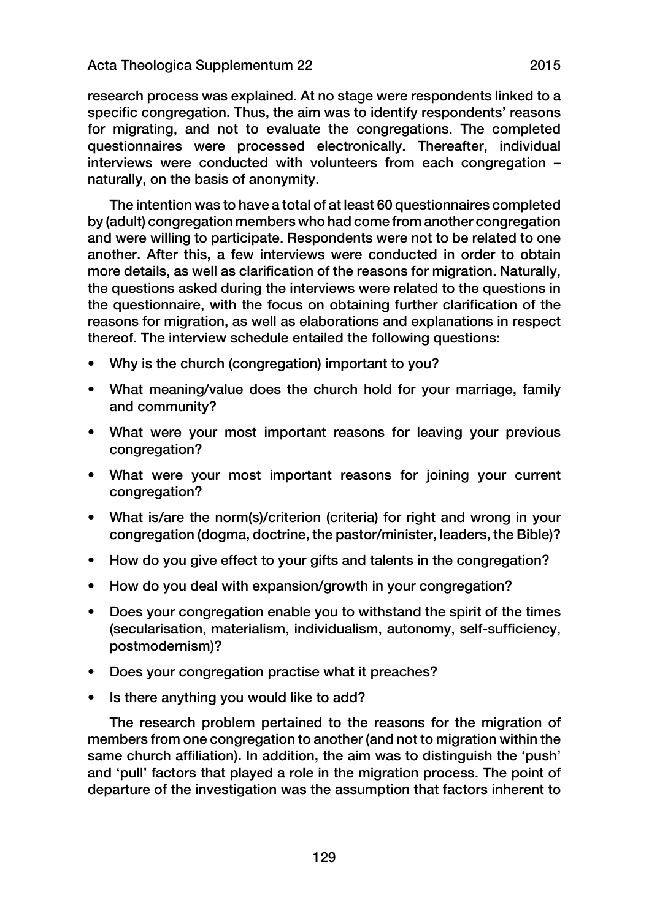research process was explained. At no stage were respondents linked to a specific congregation. Thus, the aim was to identify respondents' reasons for migrating, and not to evaluate the congregations. The completed questionnaires were processed electronically. Thereafter, individual interviews were conducted with volunteers from each congregation – naturally, on the basis of anonymity.

The intention was to have a total of at least 60 questionnaires completed by (adult) congregation members who had come from another congregation and were willing to participate. Respondents were not to be related to one another. After this, a few interviews were conducted in order to obtain more details, as well as clarification of the reasons for migration. Naturally, the questions asked during the interviews were related to the questions in the questionnaire, with the focus on obtaining further clarification of the reasons for migration, as well as elaborations and explanations in respect thereof. The interview schedule entailed the following questions:

- Why is the church (congregation) important to you?
- What meaning/value does the church hold for your marriage, family and community?
- What were your most important reasons for leaving your previous congregation?
- What were your most important reasons for joining your current congregation?
- What is/are the norm(s)/criterion (criteria) for right and wrong in your congregation (dogma, doctrine, the pastor/minister, leaders, the Bible)?
- How do you give effect to your gifts and talents in the congregation?
- How do you deal with expansion/growth in your congregation?
- Does your congregation enable you to withstand the spirit of the times (secularisation, materialism, individualism, autonomy, self-sufficiency, postmodernism)?
- Does your congregation practise what it preaches?
- Is there anything you would like to add?

The research problem pertained to the reasons for the migration of members from one congregation to another (and not to migration within the same church affiliation). In addition, the aim was to distinguish the 'push' and 'pull' factors that played a role in the migration process. The point of departure of the investigation was the assumption that factors inherent to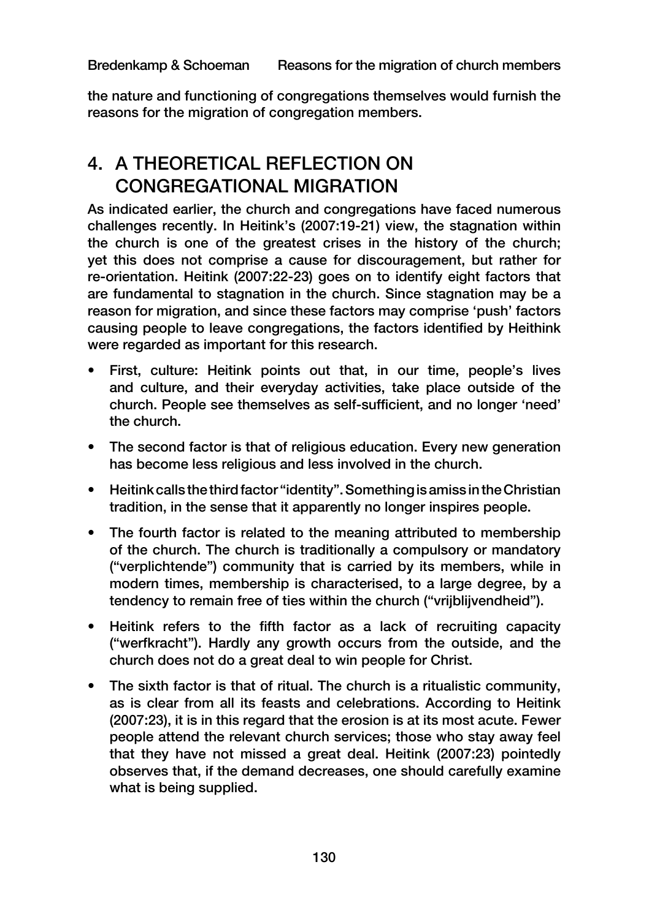the nature and functioning of congregations themselves would furnish the reasons for the migration of congregation members.

### 4. A THEORETICAL REFLECTION ON CONGREGATIONAL MIGRATION

As indicated earlier, the church and congregations have faced numerous challenges recently. In Heitink's (2007:19-21) view, the stagnation within the church is one of the greatest crises in the history of the church; yet this does not comprise a cause for discouragement, but rather for re-orientation. Heitink (2007:22-23) goes on to identify eight factors that are fundamental to stagnation in the church. Since stagnation may be a reason for migration, and since these factors may comprise 'push' factors causing people to leave congregations, the factors identified by Heithink were regarded as important for this research.

- First, culture: Heitink points out that, in our time, people's lives and culture, and their everyday activities, take place outside of the church. People see themselves as self-sufficient, and no longer 'need' the church.
- The second factor is that of religious education. Every new generation has become less religious and less involved in the church.
- Heitink calls the third factor "identity". Something is amiss in the Christian tradition, in the sense that it apparently no longer inspires people.
- The fourth factor is related to the meaning attributed to membership of the church. The church is traditionally a compulsory or mandatory ("verplichtende") community that is carried by its members, while in modern times, membership is characterised, to a large degree, by a tendency to remain free of ties within the church ("vrijblijvendheid").
- Heitink refers to the fifth factor as a lack of recruiting capacity ("werfkracht"). Hardly any growth occurs from the outside, and the church does not do a great deal to win people for Christ.
- The sixth factor is that of ritual. The church is a ritualistic community, as is clear from all its feasts and celebrations. According to Heitink (2007:23), it is in this regard that the erosion is at its most acute. Fewer people attend the relevant church services; those who stay away feel that they have not missed a great deal. Heitink (2007:23) pointedly observes that, if the demand decreases, one should carefully examine what is being supplied.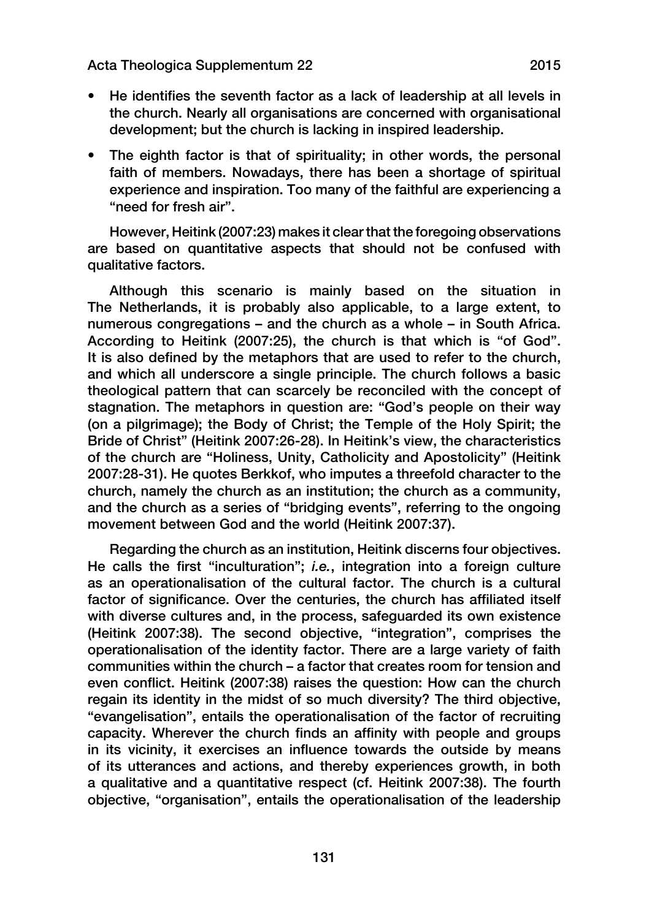#### Acta Theologica Supplementum 22 2015

- He identifies the seventh factor as a lack of leadership at all levels in the church. Nearly all organisations are concerned with organisational development; but the church is lacking in inspired leadership.
- The eighth factor is that of spirituality; in other words, the personal faith of members. Nowadays, there has been a shortage of spiritual experience and inspiration. Too many of the faithful are experiencing a "need for fresh air".

However, Heitink (2007:23) makes it clear that the foregoing observations are based on quantitative aspects that should not be confused with qualitative factors.

Although this scenario is mainly based on the situation in The Netherlands, it is probably also applicable, to a large extent, to numerous congregations – and the church as a whole – in South Africa. According to Heitink (2007:25), the church is that which is "of God". It is also defined by the metaphors that are used to refer to the church, and which all underscore a single principle. The church follows a basic theological pattern that can scarcely be reconciled with the concept of stagnation. The metaphors in question are: "God's people on their way (on a pilgrimage); the Body of Christ; the Temple of the Holy Spirit; the Bride of Christ" (Heitink 2007:26-28). In Heitink's view, the characteristics of the church are "Holiness, Unity, Catholicity and Apostolicity" (Heitink 2007:28-31). He quotes Berkkof, who imputes a threefold character to the church, namely the church as an institution; the church as a community, and the church as a series of "bridging events", referring to the ongoing movement between God and the world (Heitink 2007:37).

Regarding the church as an institution, Heitink discerns four objectives. He calls the first "inculturation"; *i.e.*, integration into a foreign culture as an operationalisation of the cultural factor. The church is a cultural factor of significance. Over the centuries, the church has affiliated itself with diverse cultures and, in the process, safeguarded its own existence (Heitink 2007:38). The second objective, "integration", comprises the operationalisation of the identity factor. There are a large variety of faith communities within the church – a factor that creates room for tension and even conflict. Heitink (2007:38) raises the question: How can the church regain its identity in the midst of so much diversity? The third objective, "evangelisation", entails the operationalisation of the factor of recruiting capacity. Wherever the church finds an affinity with people and groups in its vicinity, it exercises an influence towards the outside by means of its utterances and actions, and thereby experiences growth, in both a qualitative and a quantitative respect (cf. Heitink 2007:38). The fourth objective, "organisation", entails the operationalisation of the leadership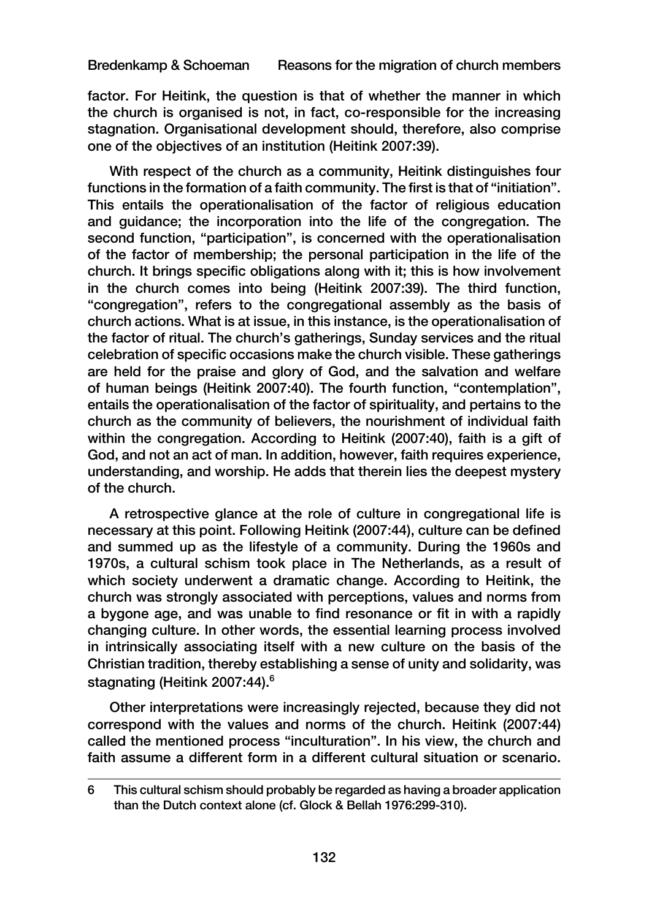factor. For Heitink, the question is that of whether the manner in which the church is organised is not, in fact, co-responsible for the increasing stagnation. Organisational development should, therefore, also comprise one of the objectives of an institution (Heitink 2007:39).

With respect of the church as a community, Heitink distinguishes four functions in the formation of a faith community. The first is that of "initiation". This entails the operationalisation of the factor of religious education and guidance; the incorporation into the life of the congregation. The second function, "participation", is concerned with the operationalisation of the factor of membership; the personal participation in the life of the church. It brings specific obligations along with it; this is how involvement in the church comes into being (Heitink 2007:39). The third function, "congregation", refers to the congregational assembly as the basis of church actions. What is at issue, in this instance, is the operationalisation of the factor of ritual. The church's gatherings, Sunday services and the ritual celebration of specific occasions make the church visible. These gatherings are held for the praise and glory of God, and the salvation and welfare of human beings (Heitink 2007:40). The fourth function, "contemplation", entails the operationalisation of the factor of spirituality, and pertains to the church as the community of believers, the nourishment of individual faith within the congregation. According to Heitink (2007:40), faith is a gift of God, and not an act of man. In addition, however, faith requires experience, understanding, and worship. He adds that therein lies the deepest mystery of the church.

A retrospective glance at the role of culture in congregational life is necessary at this point. Following Heitink (2007:44), culture can be defined and summed up as the lifestyle of a community. During the 1960s and 1970s, a cultural schism took place in The Netherlands, as a result of which society underwent a dramatic change. According to Heitink, the church was strongly associated with perceptions, values and norms from a bygone age, and was unable to find resonance or fit in with a rapidly changing culture. In other words, the essential learning process involved in intrinsically associating itself with a new culture on the basis of the Christian tradition, thereby establishing a sense of unity and solidarity, was stagnating (Heitink 2007:44).<sup>6</sup>

Other interpretations were increasingly rejected, because they did not correspond with the values and norms of the church. Heitink (2007:44) called the mentioned process "inculturation". In his view, the church and faith assume a different form in a different cultural situation or scenario.

<sup>6</sup> This cultural schism should probably be regarded as having a broader application than the Dutch context alone (cf. Glock & Bellah 1976:299-310).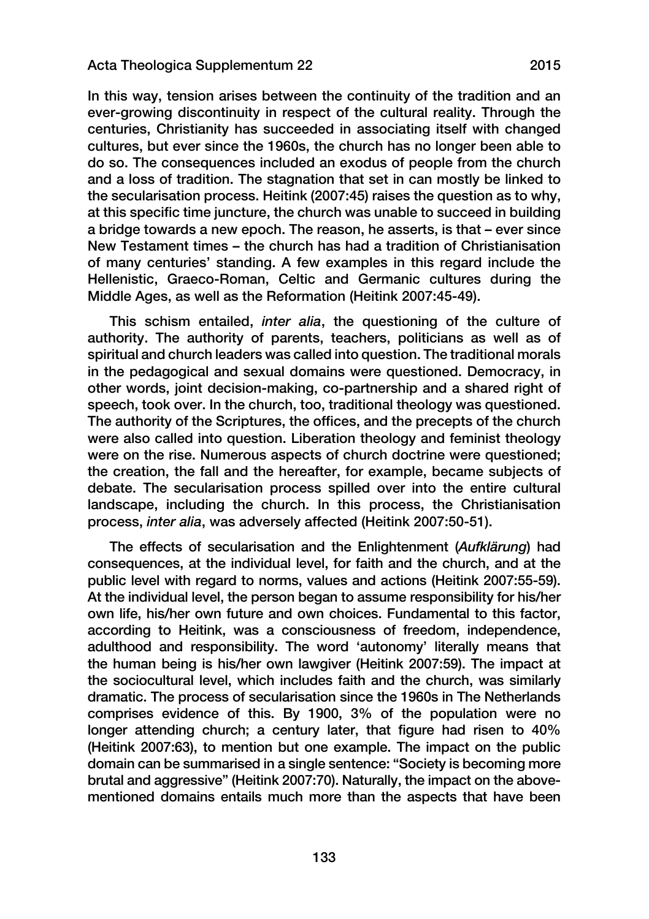In this way, tension arises between the continuity of the tradition and an ever-growing discontinuity in respect of the cultural reality. Through the centuries, Christianity has succeeded in associating itself with changed cultures, but ever since the 1960s, the church has no longer been able to do so. The consequences included an exodus of people from the church and a loss of tradition. The stagnation that set in can mostly be linked to the secularisation process. Heitink (2007:45) raises the question as to why, at this specific time juncture, the church was unable to succeed in building a bridge towards a new epoch. The reason, he asserts, is that – ever since New Testament times – the church has had a tradition of Christianisation of many centuries' standing. A few examples in this regard include the Hellenistic, Graeco-Roman, Celtic and Germanic cultures during the Middle Ages, as well as the Reformation (Heitink 2007:45-49).

This schism entailed, *inter alia*, the questioning of the culture of authority. The authority of parents, teachers, politicians as well as of spiritual and church leaders was called into question. The traditional morals in the pedagogical and sexual domains were questioned. Democracy, in other words, joint decision-making, co-partnership and a shared right of speech, took over. In the church, too, traditional theology was questioned. The authority of the Scriptures, the offices, and the precepts of the church were also called into question. Liberation theology and feminist theology were on the rise. Numerous aspects of church doctrine were questioned; the creation, the fall and the hereafter, for example, became subjects of debate. The secularisation process spilled over into the entire cultural landscape, including the church. In this process, the Christianisation process, *inter alia*, was adversely affected (Heitink 2007:50-51).

The effects of secularisation and the Enlightenment (*Aufklärung*) had consequences, at the individual level, for faith and the church, and at the public level with regard to norms, values and actions (Heitink 2007:55-59). At the individual level, the person began to assume responsibility for his/her own life, his/her own future and own choices. Fundamental to this factor, according to Heitink, was a consciousness of freedom, independence, adulthood and responsibility. The word 'autonomy' literally means that the human being is his/her own lawgiver (Heitink 2007:59). The impact at the sociocultural level, which includes faith and the church, was similarly dramatic. The process of secularisation since the 1960s in The Netherlands comprises evidence of this. By 1900, 3% of the population were no longer attending church; a century later, that figure had risen to 40% (Heitink 2007:63), to mention but one example. The impact on the public domain can be summarised in a single sentence: "Society is becoming more brutal and aggressive" (Heitink 2007:70). Naturally, the impact on the abovementioned domains entails much more than the aspects that have been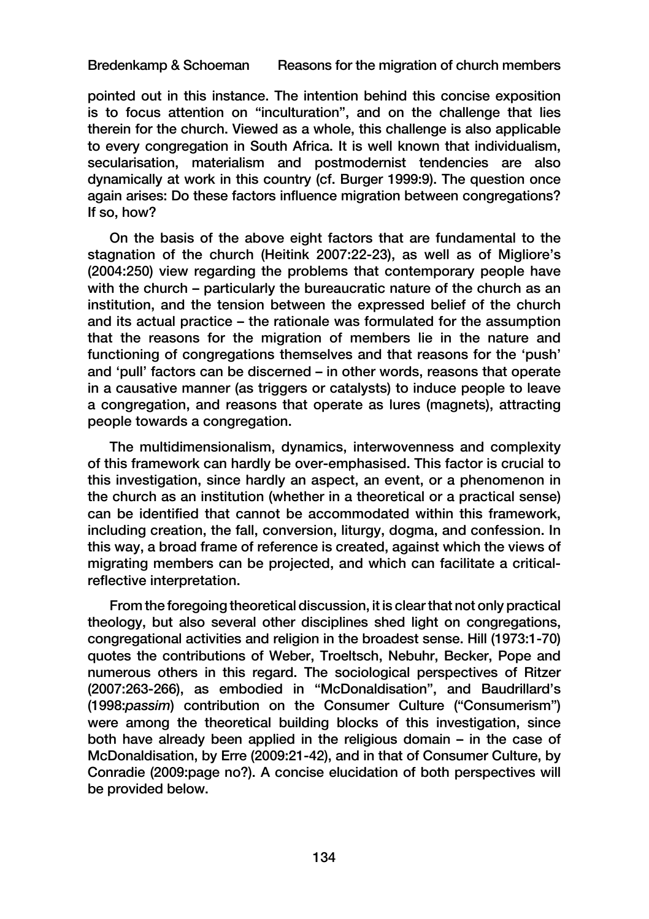pointed out in this instance. The intention behind this concise exposition is to focus attention on "inculturation", and on the challenge that lies therein for the church. Viewed as a whole, this challenge is also applicable to every congregation in South Africa. It is well known that individualism, secularisation, materialism and postmodernist tendencies are also dynamically at work in this country (cf. Burger 1999:9). The question once again arises: Do these factors influence migration between congregations? If so, how?

On the basis of the above eight factors that are fundamental to the stagnation of the church (Heitink 2007:22-23), as well as of Migliore's (2004:250) view regarding the problems that contemporary people have with the church – particularly the bureaucratic nature of the church as an institution, and the tension between the expressed belief of the church and its actual practice – the rationale was formulated for the assumption that the reasons for the migration of members lie in the nature and functioning of congregations themselves and that reasons for the 'push' and 'pull' factors can be discerned – in other words, reasons that operate in a causative manner (as triggers or catalysts) to induce people to leave a congregation, and reasons that operate as lures (magnets), attracting people towards a congregation.

The multidimensionalism, dynamics, interwovenness and complexity of this framework can hardly be over-emphasised. This factor is crucial to this investigation, since hardly an aspect, an event, or a phenomenon in the church as an institution (whether in a theoretical or a practical sense) can be identified that cannot be accommodated within this framework, including creation, the fall, conversion, liturgy, dogma, and confession. In this way, a broad frame of reference is created, against which the views of migrating members can be projected, and which can facilitate a criticalreflective interpretation.

From the foregoing theoretical discussion, it is clear that not only practical theology, but also several other disciplines shed light on congregations, congregational activities and religion in the broadest sense. Hill (1973:1-70) quotes the contributions of Weber, Troeltsch, Nebuhr, Becker, Pope and numerous others in this regard. The sociological perspectives of Ritzer (2007:263-266), as embodied in "McDonaldisation", and Baudrillard's (1998:*passim*) contribution on the Consumer Culture ("Consumerism") were among the theoretical building blocks of this investigation, since both have already been applied in the religious domain – in the case of McDonaldisation, by Erre (2009:21-42), and in that of Consumer Culture, by Conradie (2009:page no?). A concise elucidation of both perspectives will be provided below.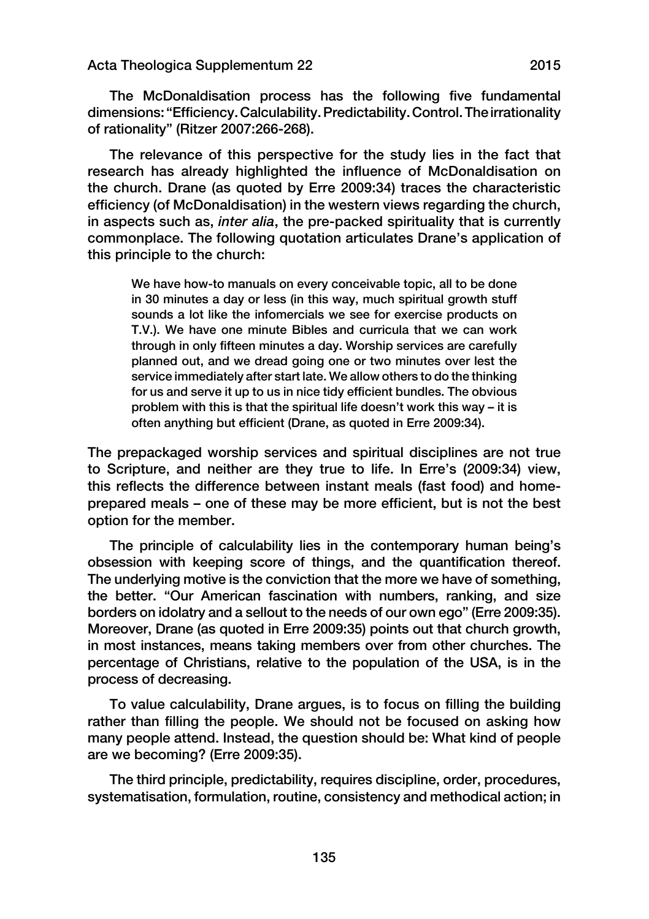#### Acta Theologica Supplementum 22 2015

The McDonaldisation process has the following five fundamental dimensions: "Efficiency. Calculability. Predictability. Control. Theirrationality of rationality" (Ritzer 2007:266-268).

The relevance of this perspective for the study lies in the fact that research has already highlighted the influence of McDonaldisation on the church. Drane (as quoted by Erre 2009:34) traces the characteristic efficiency (of McDonaldisation) in the western views regarding the church, in aspects such as, *inter alia*, the pre-packed spirituality that is currently commonplace. The following quotation articulates Drane's application of this principle to the church:

We have how-to manuals on every conceivable topic, all to be done in 30 minutes a day or less (in this way, much spiritual growth stuff sounds a lot like the infomercials we see for exercise products on T.V.). We have one minute Bibles and curricula that we can work through in only fifteen minutes a day. Worship services are carefully planned out, and we dread going one or two minutes over lest the service immediately after start late. We allow others to do the thinking for us and serve it up to us in nice tidy efficient bundles. The obvious problem with this is that the spiritual life doesn't work this way – it is often anything but efficient (Drane, as quoted in Erre 2009:34).

The prepackaged worship services and spiritual disciplines are not true to Scripture, and neither are they true to life. In Erre's (2009:34) view, this reflects the difference between instant meals (fast food) and homeprepared meals – one of these may be more efficient, but is not the best option for the member.

The principle of calculability lies in the contemporary human being's obsession with keeping score of things, and the quantification thereof. The underlying motive is the conviction that the more we have of something, the better. "Our American fascination with numbers, ranking, and size borders on idolatry and a sellout to the needs of our own ego" (Erre 2009:35). Moreover, Drane (as quoted in Erre 2009:35) points out that church growth, in most instances, means taking members over from other churches. The percentage of Christians, relative to the population of the USA, is in the process of decreasing.

To value calculability, Drane argues, is to focus on filling the building rather than filling the people. We should not be focused on asking how many people attend. Instead, the question should be: What kind of people are we becoming? (Erre 2009:35).

The third principle, predictability, requires discipline, order, procedures, systematisation, formulation, routine, consistency and methodical action; in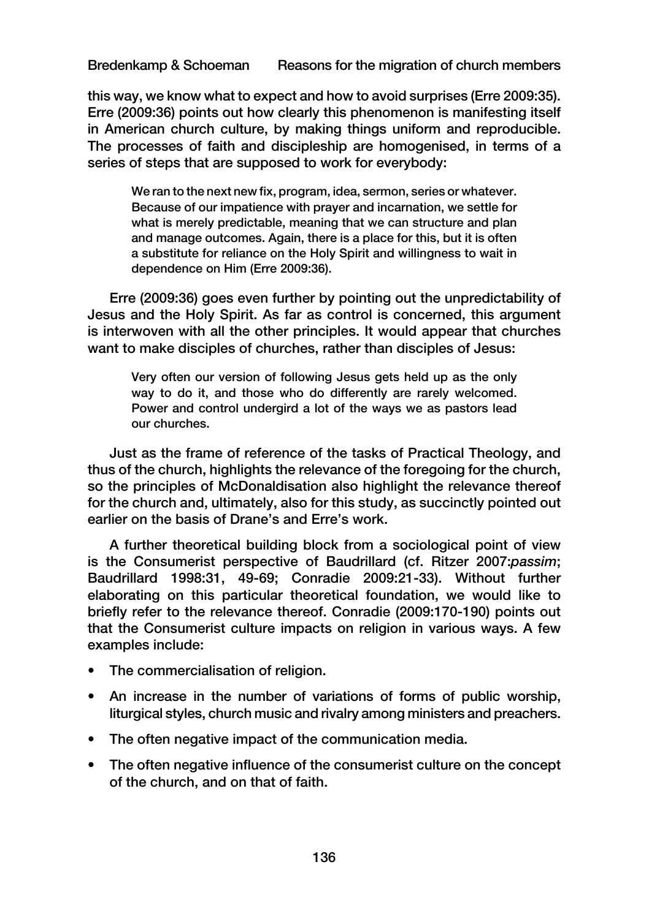this way, we know what to expect and how to avoid surprises (Erre 2009:35). Erre (2009:36) points out how clearly this phenomenon is manifesting itself in American church culture, by making things uniform and reproducible. The processes of faith and discipleship are homogenised, in terms of a series of steps that are supposed to work for everybody:

We ran to the next new fix, program, idea, sermon, series or whatever. Because of our impatience with prayer and incarnation, we settle for what is merely predictable, meaning that we can structure and plan and manage outcomes. Again, there is a place for this, but it is often a substitute for reliance on the Holy Spirit and willingness to wait in dependence on Him (Erre 2009:36).

Erre (2009:36) goes even further by pointing out the unpredictability of Jesus and the Holy Spirit. As far as control is concerned, this argument is interwoven with all the other principles. It would appear that churches want to make disciples of churches, rather than disciples of Jesus:

Very often our version of following Jesus gets held up as the only way to do it, and those who do differently are rarely welcomed. Power and control undergird a lot of the ways we as pastors lead our churches.

Just as the frame of reference of the tasks of Practical Theology, and thus of the church, highlights the relevance of the foregoing for the church, so the principles of McDonaldisation also highlight the relevance thereof for the church and, ultimately, also for this study, as succinctly pointed out earlier on the basis of Drane's and Erre's work.

A further theoretical building block from a sociological point of view is the Consumerist perspective of Baudrillard (cf. Ritzer 2007:*passim*; Baudrillard 1998:31, 49-69; Conradie 2009:21-33). Without further elaborating on this particular theoretical foundation, we would like to briefly refer to the relevance thereof. Conradie (2009:170-190) points out that the Consumerist culture impacts on religion in various ways. A few examples include:

- The commercialisation of religion.
- An increase in the number of variations of forms of public worship, liturgical styles, church music and rivalry among ministers and preachers.
- The often negative impact of the communication media.
- The often negative influence of the consumerist culture on the concept of the church, and on that of faith.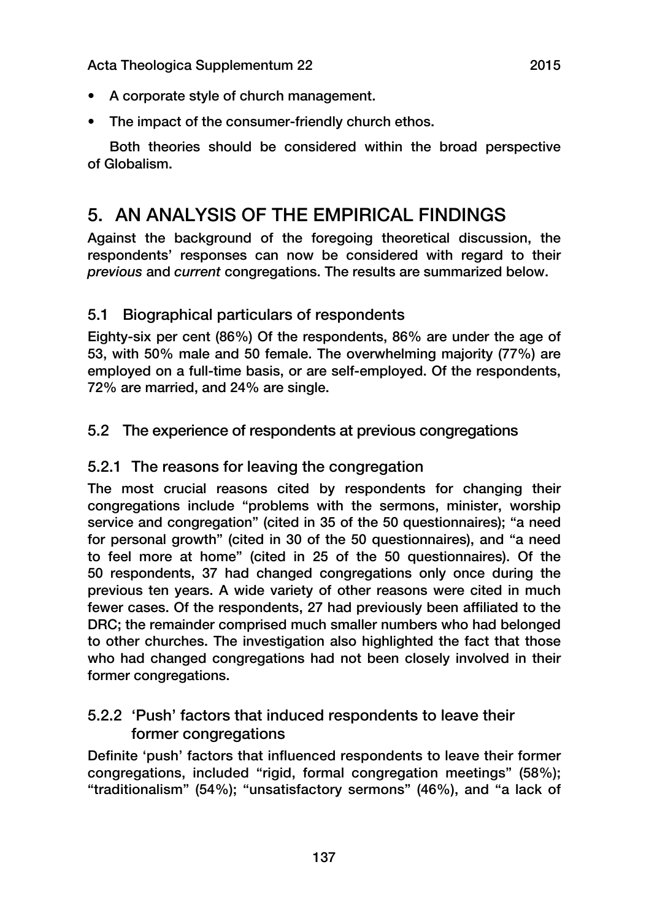- A corporate style of church management.
- The impact of the consumer-friendly church ethos.

Both theories should be considered within the broad perspective of Globalism.

### 5. AN ANALYSIS OF THE EMPIRICAL FINDINGS

Against the background of the foregoing theoretical discussion, the respondents' responses can now be considered with regard to their *previous* and *current* congregations. The results are summarized below.

### 5.1 Biographical particulars of respondents

Eighty-six per cent (86%) Of the respondents, 86% are under the age of 53, with 50% male and 50 female. The overwhelming majority (77%) are employed on a full-time basis, or are self-employed. Of the respondents, 72% are married, and 24% are single.

### 5.2 The experience of respondents at previous congregations

### 5.2.1 The reasons for leaving the congregation

The most crucial reasons cited by respondents for changing their congregations include "problems with the sermons, minister, worship service and congregation" (cited in 35 of the 50 questionnaires); "a need for personal growth" (cited in 30 of the 50 questionnaires), and "a need to feel more at home" (cited in 25 of the 50 questionnaires). Of the 50 respondents, 37 had changed congregations only once during the previous ten years. A wide variety of other reasons were cited in much fewer cases. Of the respondents, 27 had previously been affiliated to the DRC; the remainder comprised much smaller numbers who had belonged to other churches. The investigation also highlighted the fact that those who had changed congregations had not been closely involved in their former congregations.

### 5.2.2 'Push' factors that induced respondents to leave their former congregations

Definite 'push' factors that influenced respondents to leave their former congregations, included "rigid, formal congregation meetings" (58%); "traditionalism" (54%); "unsatisfactory sermons" (46%), and "a lack of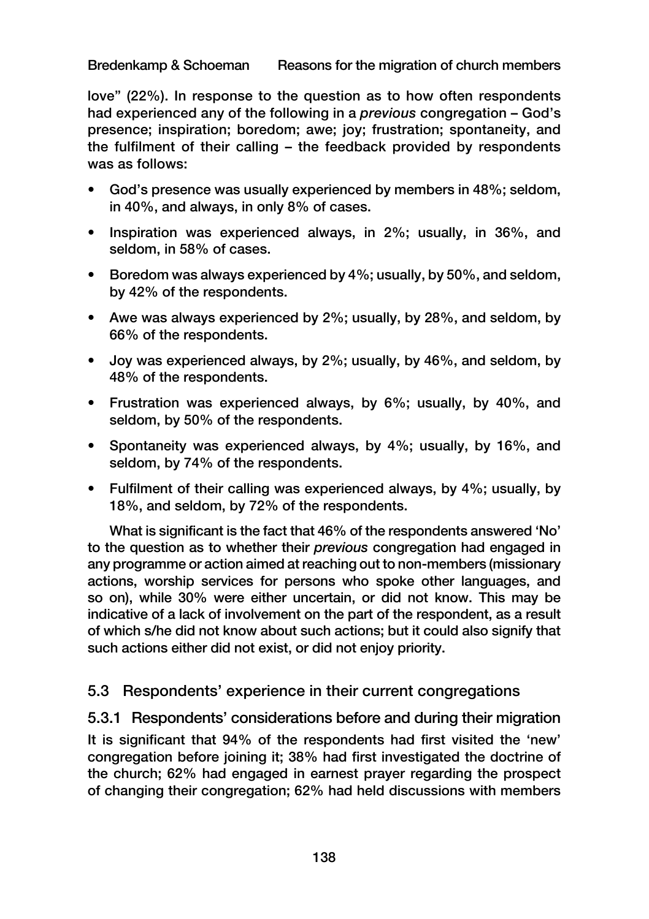love" (22%). In response to the question as to how often respondents had experienced any of the following in a *previous* congregation – God's presence; inspiration; boredom; awe; joy; frustration; spontaneity, and the fulfilment of their calling – the feedback provided by respondents was as follows:

- God's presence was usually experienced by members in 48%; seldom, in 40%, and always, in only 8% of cases.
- Inspiration was experienced always, in 2%; usually, in 36%, and seldom, in 58% of cases.
- Boredom was always experienced by 4%; usually, by 50%, and seldom, by 42% of the respondents.
- Awe was always experienced by 2%; usually, by 28%, and seldom, by 66% of the respondents.
- Joy was experienced always, by 2%; usually, by 46%, and seldom, by 48% of the respondents.
- Frustration was experienced always, by 6%; usually, by 40%, and seldom, by 50% of the respondents.
- Spontaneity was experienced always, by 4%; usually, by 16%, and seldom, by 74% of the respondents.
- Fulfilment of their calling was experienced always, by 4%; usually, by 18%, and seldom, by 72% of the respondents.

What is significant is the fact that 46% of the respondents answered 'No' to the question as to whether their *previous* congregation had engaged in any programme or action aimed at reaching out to non-members (missionary actions, worship services for persons who spoke other languages, and so on), while 30% were either uncertain, or did not know. This may be indicative of a lack of involvement on the part of the respondent, as a result of which s/he did not know about such actions; but it could also signify that such actions either did not exist, or did not enjoy priority.

### 5.3 Respondents' experience in their current congregations

5.3.1 Respondents' considerations before and during their migration It is significant that 94% of the respondents had first visited the 'new' congregation before joining it; 38% had first investigated the doctrine of the church; 62% had engaged in earnest prayer regarding the prospect of changing their congregation; 62% had held discussions with members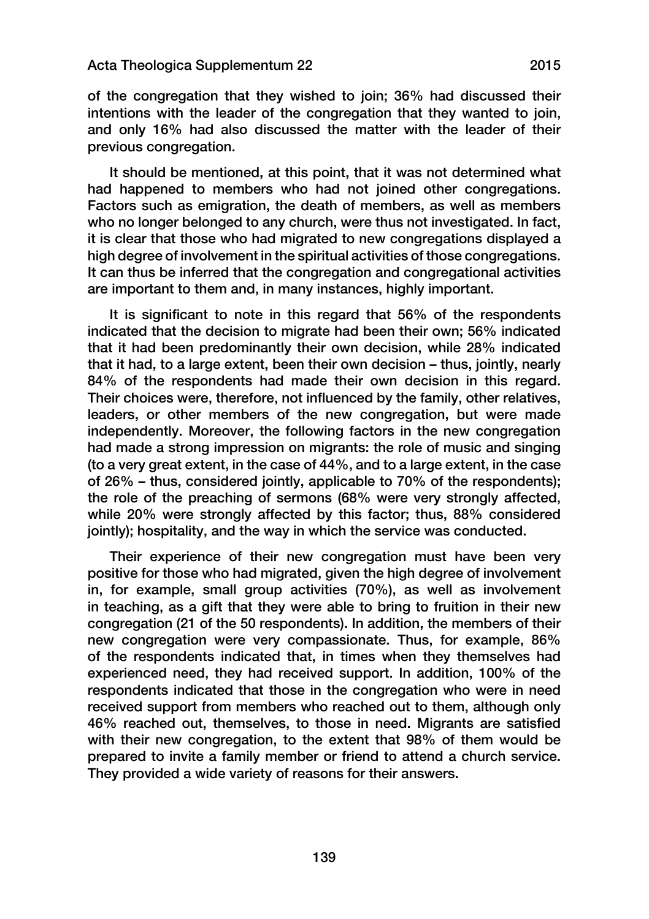of the congregation that they wished to join; 36% had discussed their intentions with the leader of the congregation that they wanted to join, and only 16% had also discussed the matter with the leader of their previous congregation.

It should be mentioned, at this point, that it was not determined what had happened to members who had not joined other congregations. Factors such as emigration, the death of members, as well as members who no longer belonged to any church, were thus not investigated. In fact, it is clear that those who had migrated to new congregations displayed a high degree of involvement in the spiritual activities of those congregations. It can thus be inferred that the congregation and congregational activities are important to them and, in many instances, highly important.

It is significant to note in this regard that 56% of the respondents indicated that the decision to migrate had been their own; 56% indicated that it had been predominantly their own decision, while 28% indicated that it had, to a large extent, been their own decision – thus, jointly, nearly 84% of the respondents had made their own decision in this regard. Their choices were, therefore, not influenced by the family, other relatives, leaders, or other members of the new congregation, but were made independently. Moreover, the following factors in the new congregation had made a strong impression on migrants: the role of music and singing (to a very great extent, in the case of 44%, and to a large extent, in the case of 26% – thus, considered jointly, applicable to 70% of the respondents); the role of the preaching of sermons (68% were very strongly affected, while 20% were strongly affected by this factor; thus, 88% considered jointly); hospitality, and the way in which the service was conducted.

Their experience of their new congregation must have been very positive for those who had migrated, given the high degree of involvement in, for example, small group activities (70%), as well as involvement in teaching, as a gift that they were able to bring to fruition in their new congregation (21 of the 50 respondents). In addition, the members of their new congregation were very compassionate. Thus, for example, 86% of the respondents indicated that, in times when they themselves had experienced need, they had received support. In addition, 100% of the respondents indicated that those in the congregation who were in need received support from members who reached out to them, although only 46% reached out, themselves, to those in need. Migrants are satisfied with their new congregation, to the extent that 98% of them would be prepared to invite a family member or friend to attend a church service. They provided a wide variety of reasons for their answers.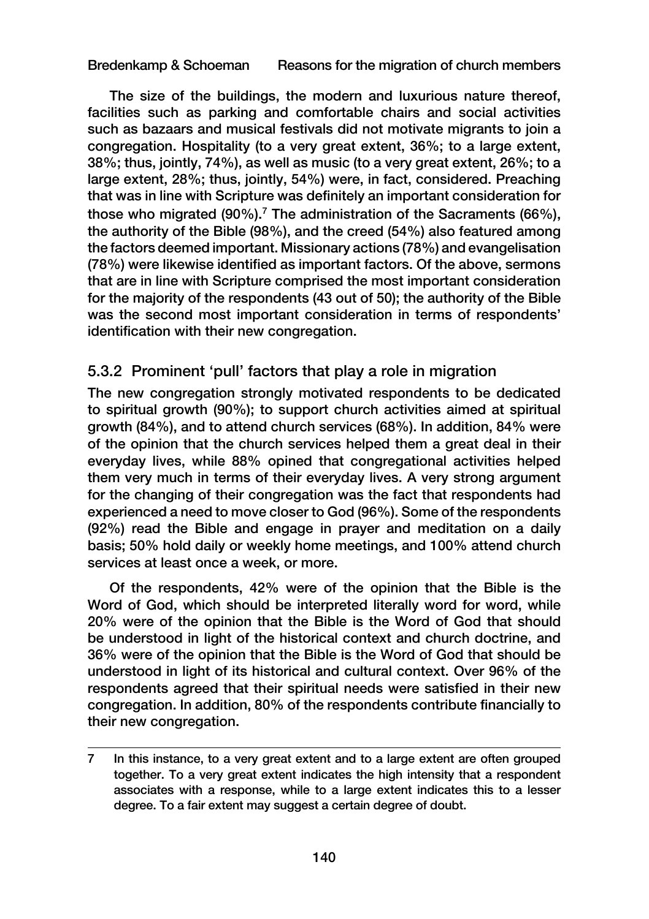The size of the buildings, the modern and luxurious nature thereof, facilities such as parking and comfortable chairs and social activities such as bazaars and musical festivals did not motivate migrants to join a congregation. Hospitality (to a very great extent, 36%; to a large extent, 38%; thus, jointly, 74%), as well as music (to a very great extent, 26%; to a large extent, 28%; thus, jointly, 54%) were, in fact, considered. Preaching that was in line with Scripture was definitely an important consideration for those who migrated (90%).<sup>7</sup> The administration of the Sacraments (66%), the authority of the Bible (98%), and the creed (54%) also featured among the factors deemed important. Missionary actions (78%) and evangelisation (78%) were likewise identified as important factors. Of the above, sermons that are in line with Scripture comprised the most important consideration for the majority of the respondents (43 out of 50); the authority of the Bible was the second most important consideration in terms of respondents' identification with their new congregation.

### 5.3.2 Prominent 'pull' factors that play a role in migration

The new congregation strongly motivated respondents to be dedicated to spiritual growth (90%); to support church activities aimed at spiritual growth (84%), and to attend church services (68%). In addition, 84% were of the opinion that the church services helped them a great deal in their everyday lives, while 88% opined that congregational activities helped them very much in terms of their everyday lives. A very strong argument for the changing of their congregation was the fact that respondents had experienced a need to move closer to God (96%). Some of the respondents (92%) read the Bible and engage in prayer and meditation on a daily basis; 50% hold daily or weekly home meetings, and 100% attend church services at least once a week, or more.

Of the respondents, 42% were of the opinion that the Bible is the Word of God, which should be interpreted literally word for word, while 20% were of the opinion that the Bible is the Word of God that should be understood in light of the historical context and church doctrine, and 36% were of the opinion that the Bible is the Word of God that should be understood in light of its historical and cultural context. Over 96% of the respondents agreed that their spiritual needs were satisfied in their new congregation. In addition, 80% of the respondents contribute financially to their new congregation.

<sup>7</sup> In this instance, to a very great extent and to a large extent are often grouped together. To a very great extent indicates the high intensity that a respondent associates with a response, while to a large extent indicates this to a lesser degree. To a fair extent may suggest a certain degree of doubt.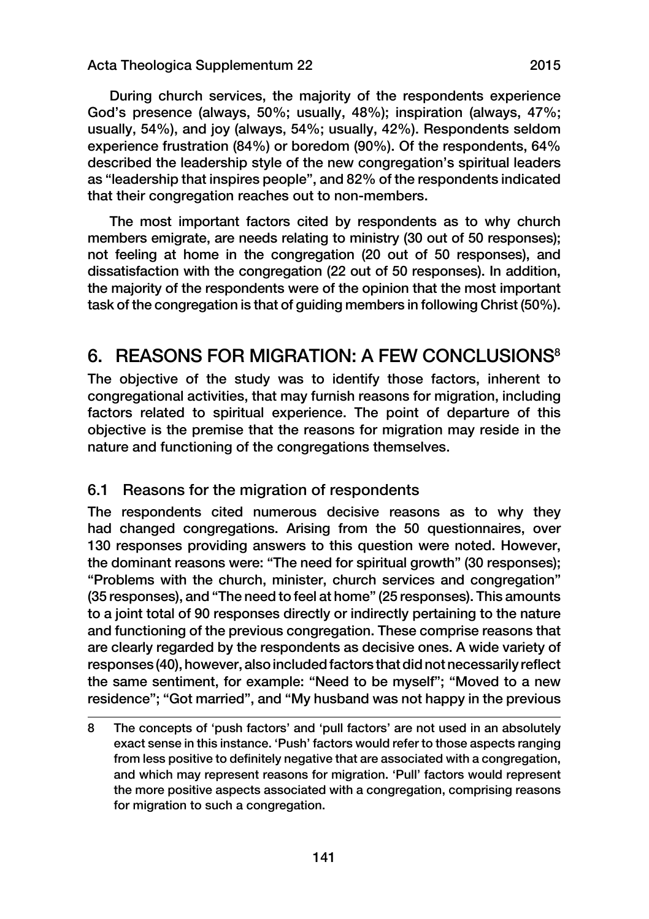During church services, the majority of the respondents experience God's presence (always, 50%; usually, 48%); inspiration (always, 47%; usually, 54%), and joy (always, 54%; usually, 42%). Respondents seldom experience frustration (84%) or boredom (90%). Of the respondents, 64% described the leadership style of the new congregation's spiritual leaders as "leadership that inspires people", and 82% of the respondents indicated that their congregation reaches out to non-members.

The most important factors cited by respondents as to why church members emigrate, are needs relating to ministry (30 out of 50 responses); not feeling at home in the congregation (20 out of 50 responses), and dissatisfaction with the congregation (22 out of 50 responses). In addition, the majority of the respondents were of the opinion that the most important task of the congregation is that of guiding members in following Christ (50%).

### 6. REASONS FOR MIGRATION: A FEW CONCLUSIONS<sup>8</sup>

The objective of the study was to identify those factors, inherent to congregational activities, that may furnish reasons for migration, including factors related to spiritual experience. The point of departure of this objective is the premise that the reasons for migration may reside in the nature and functioning of the congregations themselves.

### 6.1 Reasons for the migration of respondents

The respondents cited numerous decisive reasons as to why they had changed congregations. Arising from the 50 questionnaires, over 130 responses providing answers to this question were noted. However, the dominant reasons were: "The need for spiritual growth" (30 responses); "Problems with the church, minister, church services and congregation" (35 responses), and "The need to feel at home" (25 responses). This amounts to a joint total of 90 responses directly or indirectly pertaining to the nature and functioning of the previous congregation. These comprise reasons that are clearly regarded by the respondents as decisive ones. A wide variety of responses (40), however, also included factors that did not necessarily reflect the same sentiment, for example: "Need to be myself"; "Moved to a new residence"; "Got married", and "My husband was not happy in the previous

<sup>8</sup> The concepts of 'push factors' and 'pull factors' are not used in an absolutely exact sense in this instance. 'Push' factors would refer to those aspects ranging from less positive to definitely negative that are associated with a congregation, and which may represent reasons for migration. 'Pull' factors would represent the more positive aspects associated with a congregation, comprising reasons for migration to such a congregation.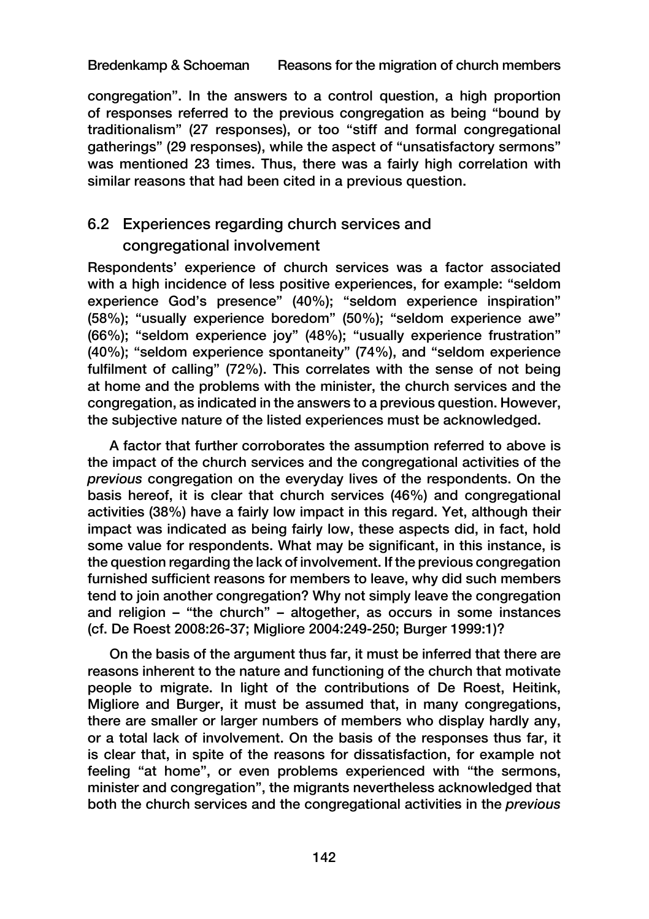congregation". In the answers to a control question, a high proportion of responses referred to the previous congregation as being "bound by traditionalism" (27 responses), or too "stiff and formal congregational gatherings" (29 responses), while the aspect of "unsatisfactory sermons" was mentioned 23 times. Thus, there was a fairly high correlation with similar reasons that had been cited in a previous question.

### 6.2 Experiences regarding church services and

### congregational involvement

Respondents' experience of church services was a factor associated with a high incidence of less positive experiences, for example: "seldom experience God's presence" (40%); "seldom experience inspiration" (58%); "usually experience boredom" (50%); "seldom experience awe" (66%); "seldom experience joy" (48%); "usually experience frustration" (40%); "seldom experience spontaneity" (74%), and "seldom experience fulfilment of calling" (72%). This correlates with the sense of not being at home and the problems with the minister, the church services and the congregation, as indicated in the answers to a previous question. However, the subjective nature of the listed experiences must be acknowledged.

A factor that further corroborates the assumption referred to above is the impact of the church services and the congregational activities of the *previous* congregation on the everyday lives of the respondents. On the basis hereof, it is clear that church services (46%) and congregational activities (38%) have a fairly low impact in this regard. Yet, although their impact was indicated as being fairly low, these aspects did, in fact, hold some value for respondents. What may be significant, in this instance, is the question regarding the lack of involvement. If the previous congregation furnished sufficient reasons for members to leave, why did such members tend to join another congregation? Why not simply leave the congregation and religion – "the church" – altogether, as occurs in some instances (cf. De Roest 2008:26-37; Migliore 2004:249-250; Burger 1999:1)?

On the basis of the argument thus far, it must be inferred that there are reasons inherent to the nature and functioning of the church that motivate people to migrate. In light of the contributions of De Roest, Heitink, Migliore and Burger, it must be assumed that, in many congregations, there are smaller or larger numbers of members who display hardly any, or a total lack of involvement. On the basis of the responses thus far, it is clear that, in spite of the reasons for dissatisfaction, for example not feeling "at home", or even problems experienced with "the sermons, minister and congregation", the migrants nevertheless acknowledged that both the church services and the congregational activities in the *previous*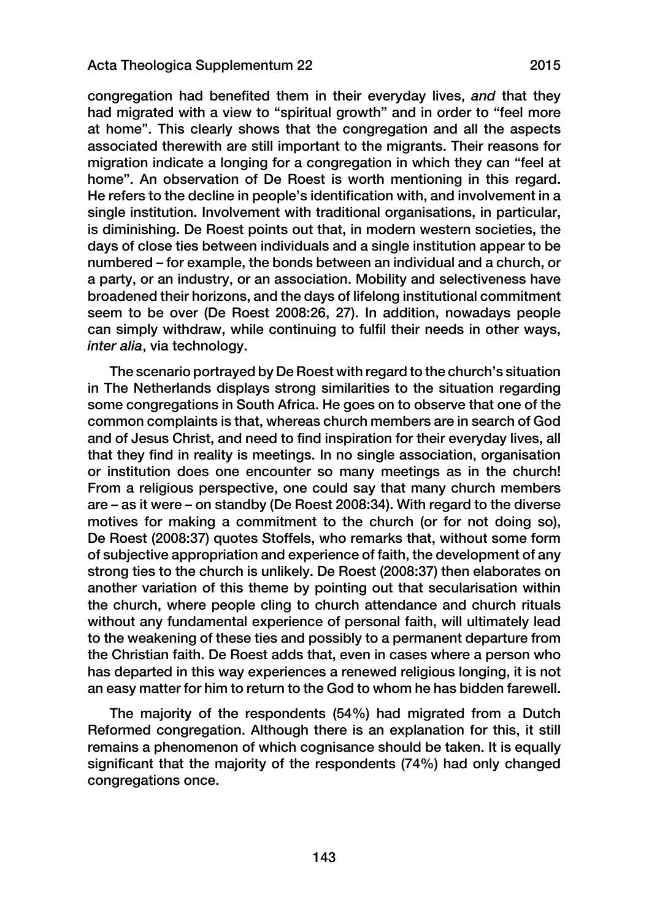congregation had benefited them in their everyday lives, *and* that they had migrated with a view to "spiritual growth" and in order to "feel more at home". This clearly shows that the congregation and all the aspects associated therewith are still important to the migrants. Their reasons for migration indicate a longing for a congregation in which they can "feel at home". An observation of De Roest is worth mentioning in this regard. He refers to the decline in people's identification with, and involvement in a single institution. Involvement with traditional organisations, in particular, is diminishing. De Roest points out that, in modern western societies, the days of close ties between individuals and a single institution appear to be numbered – for example, the bonds between an individual and a church, or a party, or an industry, or an association. Mobility and selectiveness have broadened their horizons, and the days of lifelong institutional commitment seem to be over (De Roest 2008:26, 27). In addition, nowadays people can simply withdraw, while continuing to fulfil their needs in other ways, *inter alia*, via technology.

The scenario portrayed by De Roest with regard to the church's situation in The Netherlands displays strong similarities to the situation regarding some congregations in South Africa. He goes on to observe that one of the common complaints is that, whereas church members are in search of God and of Jesus Christ, and need to find inspiration for their everyday lives, all that they find in reality is meetings. In no single association, organisation or institution does one encounter so many meetings as in the church! From a religious perspective, one could say that many church members are – as it were – on standby (De Roest 2008:34). With regard to the diverse motives for making a commitment to the church (or for not doing so), De Roest (2008:37) quotes Stoffels, who remarks that, without some form of subjective appropriation and experience of faith, the development of any strong ties to the church is unlikely. De Roest (2008:37) then elaborates on another variation of this theme by pointing out that secularisation within the church, where people cling to church attendance and church rituals without any fundamental experience of personal faith, will ultimately lead to the weakening of these ties and possibly to a permanent departure from the Christian faith. De Roest adds that, even in cases where a person who has departed in this way experiences a renewed religious longing, it is not an easy matter for him to return to the God to whom he has bidden farewell.

The majority of the respondents (54%) had migrated from a Dutch Reformed congregation. Although there is an explanation for this, it still remains a phenomenon of which cognisance should be taken. It is equally significant that the majority of the respondents (74%) had only changed congregations once.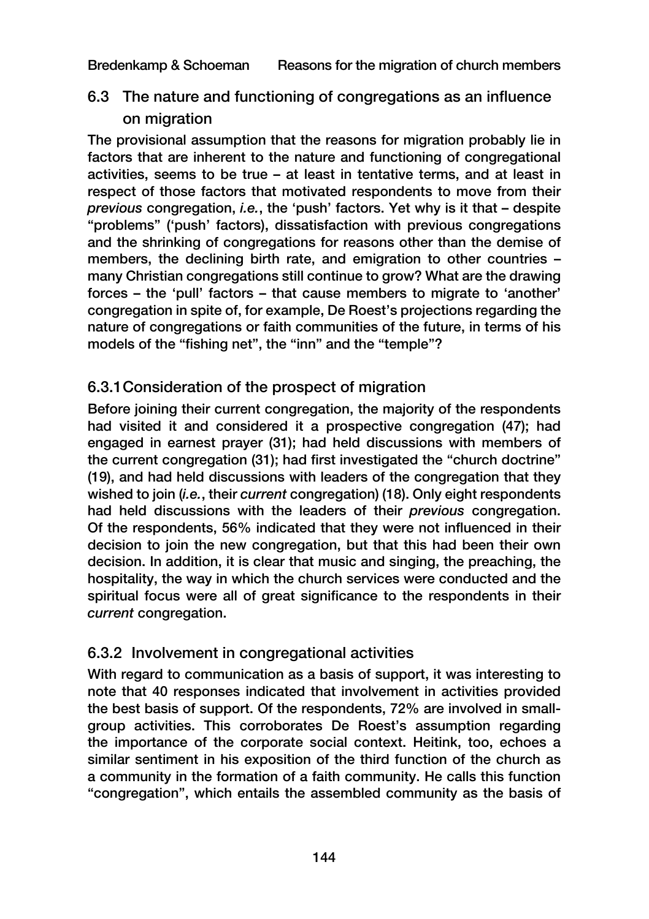### 6.3 The nature and functioning of congregations as an influence on migration

The provisional assumption that the reasons for migration probably lie in factors that are inherent to the nature and functioning of congregational activities, seems to be true – at least in tentative terms, and at least in respect of those factors that motivated respondents to move from their *previous* congregation, *i.e.*, the 'push' factors. Yet why is it that – despite "problems" ('push' factors), dissatisfaction with previous congregations and the shrinking of congregations for reasons other than the demise of members, the declining birth rate, and emigration to other countries – many Christian congregations still continue to grow? What are the drawing forces – the 'pull' factors – that cause members to migrate to 'another' congregation in spite of, for example, De Roest's projections regarding the nature of congregations or faith communities of the future, in terms of his models of the "fishing net", the "inn" and the "temple"?

### 6.3.1Consideration of the prospect of migration

Before joining their current congregation, the majority of the respondents had visited it and considered it a prospective congregation (47); had engaged in earnest prayer (31); had held discussions with members of the current congregation (31); had first investigated the "church doctrine" (19), and had held discussions with leaders of the congregation that they wished to join (*i.e.*, their *current* congregation) (18). Only eight respondents had held discussions with the leaders of their *previous* congregation. Of the respondents, 56% indicated that they were not influenced in their decision to join the new congregation, but that this had been their own decision. In addition, it is clear that music and singing, the preaching, the hospitality, the way in which the church services were conducted and the spiritual focus were all of great significance to the respondents in their *current* congregation.

### 6.3.2 Involvement in congregational activities

With regard to communication as a basis of support, it was interesting to note that 40 responses indicated that involvement in activities provided the best basis of support. Of the respondents, 72% are involved in smallgroup activities. This corroborates De Roest's assumption regarding the importance of the corporate social context. Heitink, too, echoes a similar sentiment in his exposition of the third function of the church as a community in the formation of a faith community. He calls this function "congregation", which entails the assembled community as the basis of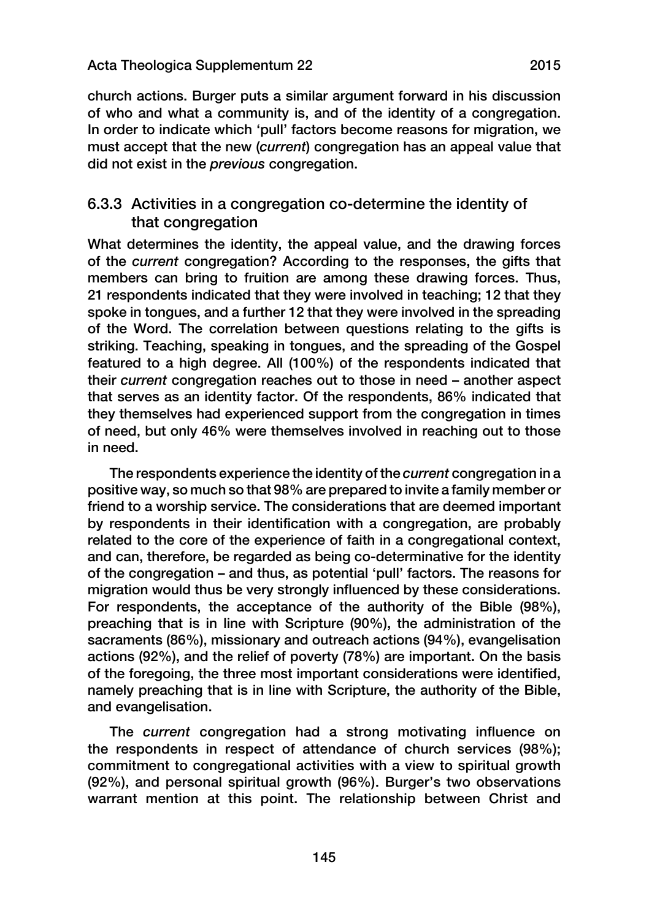church actions. Burger puts a similar argument forward in his discussion of who and what a community is, and of the identity of a congregation. In order to indicate which 'pull' factors become reasons for migration, we must accept that the new (*current*) congregation has an appeal value that did not exist in the *previous* congregation.

### 6.3.3 Activities in a congregation co-determine the identity of that congregation

What determines the identity, the appeal value, and the drawing forces of the *current* congregation? According to the responses, the gifts that members can bring to fruition are among these drawing forces. Thus, 21 respondents indicated that they were involved in teaching; 12 that they spoke in tongues, and a further 12 that they were involved in the spreading of the Word. The correlation between questions relating to the gifts is striking. Teaching, speaking in tongues, and the spreading of the Gospel featured to a high degree. All (100%) of the respondents indicated that their *current* congregation reaches out to those in need – another aspect that serves as an identity factor. Of the respondents, 86% indicated that they themselves had experienced support from the congregation in times of need, but only 46% were themselves involved in reaching out to those in need.

The respondents experience the identity of the *current* congregation in a positive way, so much so that 98% are prepared to invite a family member or friend to a worship service. The considerations that are deemed important by respondents in their identification with a congregation, are probably related to the core of the experience of faith in a congregational context, and can, therefore, be regarded as being co-determinative for the identity of the congregation – and thus, as potential 'pull' factors. The reasons for migration would thus be very strongly influenced by these considerations. For respondents, the acceptance of the authority of the Bible (98%), preaching that is in line with Scripture (90%), the administration of the sacraments (86%), missionary and outreach actions (94%), evangelisation actions (92%), and the relief of poverty (78%) are important. On the basis of the foregoing, the three most important considerations were identified, namely preaching that is in line with Scripture, the authority of the Bible, and evangelisation.

The *current* congregation had a strong motivating influence on the respondents in respect of attendance of church services (98%); commitment to congregational activities with a view to spiritual growth (92%), and personal spiritual growth (96%). Burger's two observations warrant mention at this point. The relationship between Christ and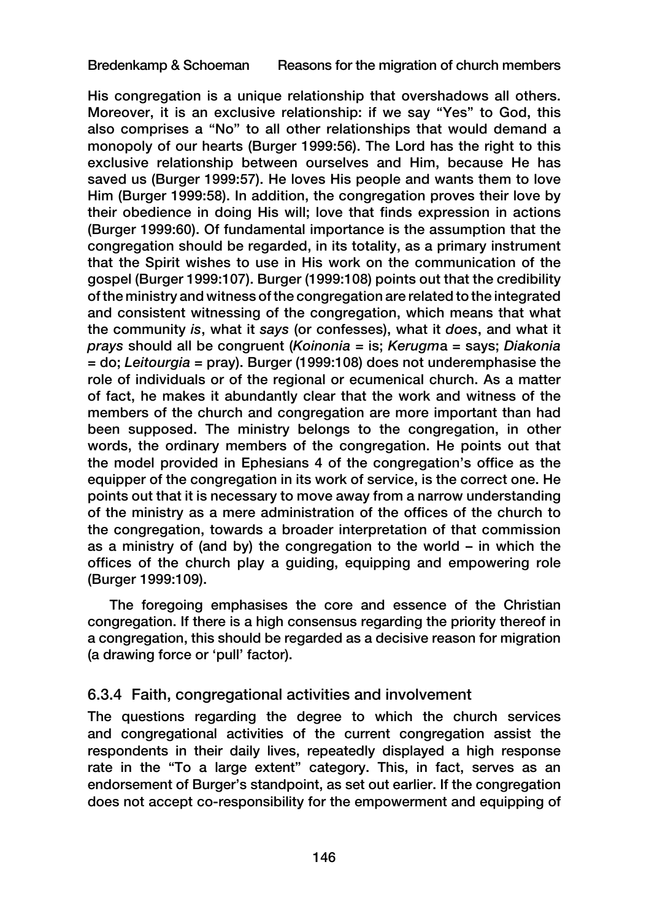His congregation is a unique relationship that overshadows all others. Moreover, it is an exclusive relationship: if we say "Yes" to God, this also comprises a "No" to all other relationships that would demand a monopoly of our hearts (Burger 1999:56). The Lord has the right to this exclusive relationship between ourselves and Him, because He has saved us (Burger 1999:57). He loves His people and wants them to love Him (Burger 1999:58). In addition, the congregation proves their love by their obedience in doing His will; love that finds expression in actions (Burger 1999:60). Of fundamental importance is the assumption that the congregation should be regarded, in its totality, as a primary instrument that the Spirit wishes to use in His work on the communication of the gospel (Burger 1999:107). Burger (1999:108) points out that the credibility of the ministry and witness of the congregation are related to the integrated and consistent witnessing of the congregation, which means that what the community *is*, what it *says* (or confesses), what it *does*, and what it *prays* should all be congruent (*Koinonia* = is; *Kerugm*a = says; *Diakonia* = do; *Leitourgia* = pray). Burger (1999:108) does not underemphasise the role of individuals or of the regional or ecumenical church. As a matter of fact, he makes it abundantly clear that the work and witness of the members of the church and congregation are more important than had been supposed. The ministry belongs to the congregation, in other words, the ordinary members of the congregation. He points out that the model provided in Ephesians 4 of the congregation's office as the equipper of the congregation in its work of service, is the correct one. He points out that it is necessary to move away from a narrow understanding of the ministry as a mere administration of the offices of the church to the congregation, towards a broader interpretation of that commission as a ministry of (and by) the congregation to the world – in which the offices of the church play a guiding, equipping and empowering role (Burger 1999:109).

The foregoing emphasises the core and essence of the Christian congregation. If there is a high consensus regarding the priority thereof in a congregation, this should be regarded as a decisive reason for migration (a drawing force or 'pull' factor).

### 6.3.4 Faith, congregational activities and involvement

The questions regarding the degree to which the church services and congregational activities of the current congregation assist the respondents in their daily lives, repeatedly displayed a high response rate in the "To a large extent" category. This, in fact, serves as an endorsement of Burger's standpoint, as set out earlier. If the congregation does not accept co-responsibility for the empowerment and equipping of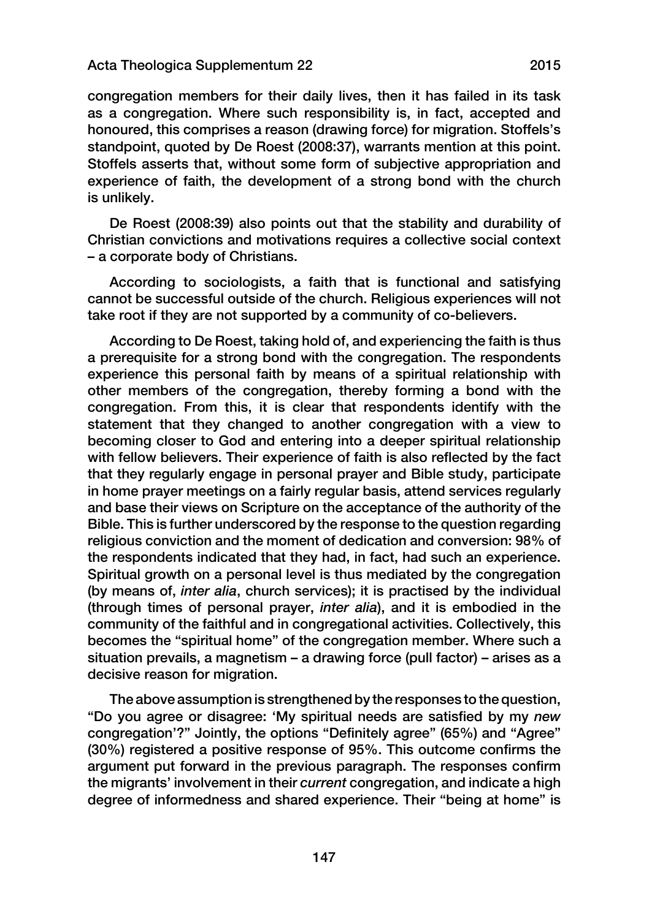congregation members for their daily lives, then it has failed in its task as a congregation. Where such responsibility is, in fact, accepted and honoured, this comprises a reason (drawing force) for migration. Stoffels's standpoint, quoted by De Roest (2008:37), warrants mention at this point. Stoffels asserts that, without some form of subjective appropriation and experience of faith, the development of a strong bond with the church is unlikely.

De Roest (2008:39) also points out that the stability and durability of Christian convictions and motivations requires a collective social context – a corporate body of Christians.

According to sociologists, a faith that is functional and satisfying cannot be successful outside of the church. Religious experiences will not take root if they are not supported by a community of co-believers.

According to De Roest, taking hold of, and experiencing the faith is thus a prerequisite for a strong bond with the congregation. The respondents experience this personal faith by means of a spiritual relationship with other members of the congregation, thereby forming a bond with the congregation. From this, it is clear that respondents identify with the statement that they changed to another congregation with a view to becoming closer to God and entering into a deeper spiritual relationship with fellow believers. Their experience of faith is also reflected by the fact that they regularly engage in personal prayer and Bible study, participate in home prayer meetings on a fairly regular basis, attend services regularly and base their views on Scripture on the acceptance of the authority of the Bible. This is further underscored by the response to the question regarding religious conviction and the moment of dedication and conversion: 98% of the respondents indicated that they had, in fact, had such an experience. Spiritual growth on a personal level is thus mediated by the congregation (by means of, *inter alia*, church services); it is practised by the individual (through times of personal prayer, *inter alia*), and it is embodied in the community of the faithful and in congregational activities. Collectively, this becomes the "spiritual home" of the congregation member. Where such a situation prevails, a magnetism – a drawing force (pull factor) – arises as a decisive reason for migration.

The above assumption is strengthened by the responses to the question, "Do you agree or disagree: 'My spiritual needs are satisfied by my *new* congregation'?" Jointly, the options "Definitely agree" (65%) and "Agree" (30%) registered a positive response of 95%. This outcome confirms the argument put forward in the previous paragraph. The responses confirm the migrants' involvement in their *current* congregation, and indicate a high degree of informedness and shared experience. Their "being at home" is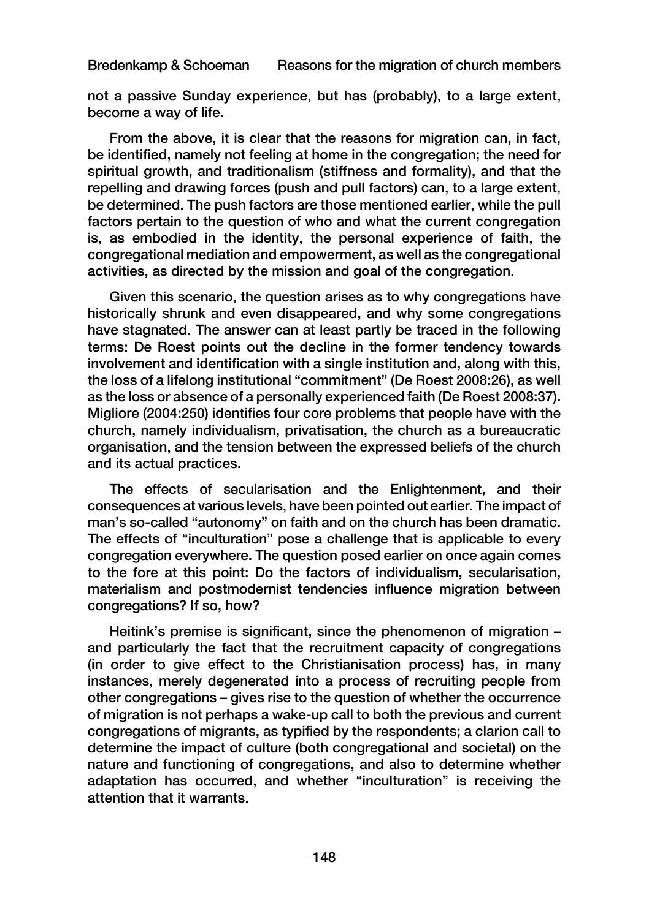not a passive Sunday experience, but has (probably), to a large extent, become a way of life.

From the above, it is clear that the reasons for migration can, in fact, be identified, namely not feeling at home in the congregation; the need for spiritual growth, and traditionalism (stiffness and formality), and that the repelling and drawing forces (push and pull factors) can, to a large extent, be determined. The push factors are those mentioned earlier, while the pull factors pertain to the question of who and what the current congregation is, as embodied in the identity, the personal experience of faith, the congregational mediation and empowerment, as well as the congregational activities, as directed by the mission and goal of the congregation.

Given this scenario, the question arises as to why congregations have historically shrunk and even disappeared, and why some congregations have stagnated. The answer can at least partly be traced in the following terms: De Roest points out the decline in the former tendency towards involvement and identification with a single institution and, along with this, the loss of a lifelong institutional "commitment" (De Roest 2008:26), as well as the loss or absence of a personally experienced faith (De Roest 2008:37). Migliore (2004:250) identifies four core problems that people have with the church, namely individualism, privatisation, the church as a bureaucratic organisation, and the tension between the expressed beliefs of the church and its actual practices.

The effects of secularisation and the Enlightenment, and their consequences at various levels, have been pointed out earlier. The impact of man's so-called "autonomy" on faith and on the church has been dramatic. The effects of "inculturation" pose a challenge that is applicable to every congregation everywhere. The question posed earlier on once again comes to the fore at this point: Do the factors of individualism, secularisation, materialism and postmodernist tendencies influence migration between congregations? If so, how?

Heitink's premise is significant, since the phenomenon of migration – and particularly the fact that the recruitment capacity of congregations (in order to give effect to the Christianisation process) has, in many instances, merely degenerated into a process of recruiting people from other congregations – gives rise to the question of whether the occurrence of migration is not perhaps a wake-up call to both the previous and current congregations of migrants, as typified by the respondents; a clarion call to determine the impact of culture (both congregational and societal) on the nature and functioning of congregations, and also to determine whether adaptation has occurred, and whether "inculturation" is receiving the attention that it warrants.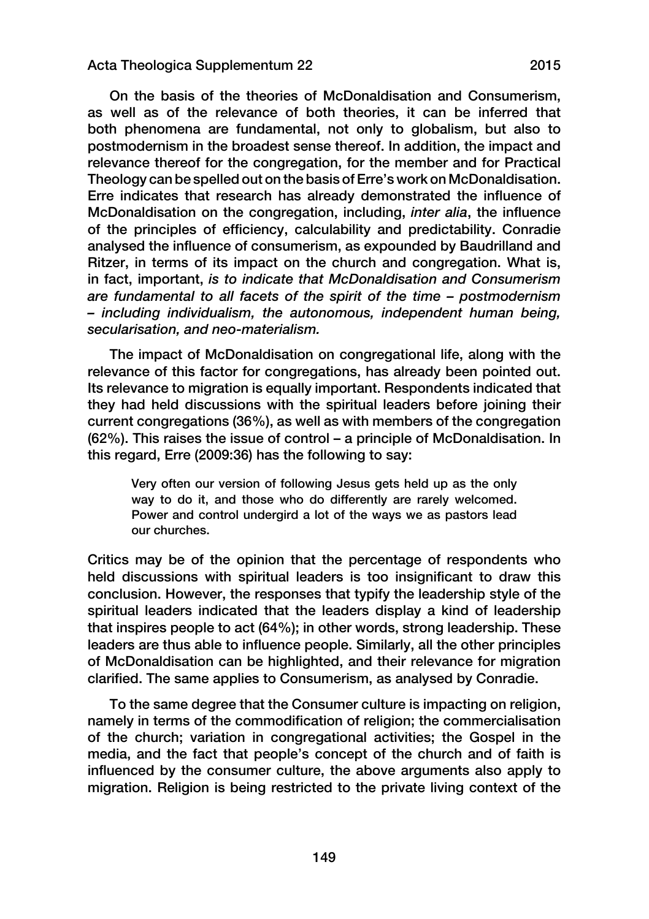#### Acta Theologica Supplementum 22 2015

On the basis of the theories of McDonaldisation and Consumerism, as well as of the relevance of both theories, it can be inferred that both phenomena are fundamental, not only to globalism, but also to postmodernism in the broadest sense thereof. In addition, the impact and relevance thereof for the congregation, for the member and for Practical Theology can be spelled out on the basis of Erre's work on McDonaldisation. Erre indicates that research has already demonstrated the influence of McDonaldisation on the congregation, including, *inter alia*, the influence of the principles of efficiency, calculability and predictability. Conradie analysed the influence of consumerism, as expounded by Baudrilland and Ritzer, in terms of its impact on the church and congregation. What is, in fact, important, *is to indicate that McDonaldisation and Consumerism are fundamental to all facets of the spirit of the time – postmodernism – including individualism, the autonomous, independent human being, secularisation, and neo-materialism.*

The impact of McDonaldisation on congregational life, along with the relevance of this factor for congregations, has already been pointed out. Its relevance to migration is equally important. Respondents indicated that they had held discussions with the spiritual leaders before joining their current congregations (36%), as well as with members of the congregation (62%). This raises the issue of control – a principle of McDonaldisation. In this regard, Erre (2009:36) has the following to say:

Very often our version of following Jesus gets held up as the only way to do it, and those who do differently are rarely welcomed. Power and control undergird a lot of the ways we as pastors lead our churches.

Critics may be of the opinion that the percentage of respondents who held discussions with spiritual leaders is too insignificant to draw this conclusion. However, the responses that typify the leadership style of the spiritual leaders indicated that the leaders display a kind of leadership that inspires people to act (64%); in other words, strong leadership. These leaders are thus able to influence people. Similarly, all the other principles of McDonaldisation can be highlighted, and their relevance for migration clarified. The same applies to Consumerism, as analysed by Conradie.

To the same degree that the Consumer culture is impacting on religion, namely in terms of the commodification of religion; the commercialisation of the church; variation in congregational activities; the Gospel in the media, and the fact that people's concept of the church and of faith is influenced by the consumer culture, the above arguments also apply to migration. Religion is being restricted to the private living context of the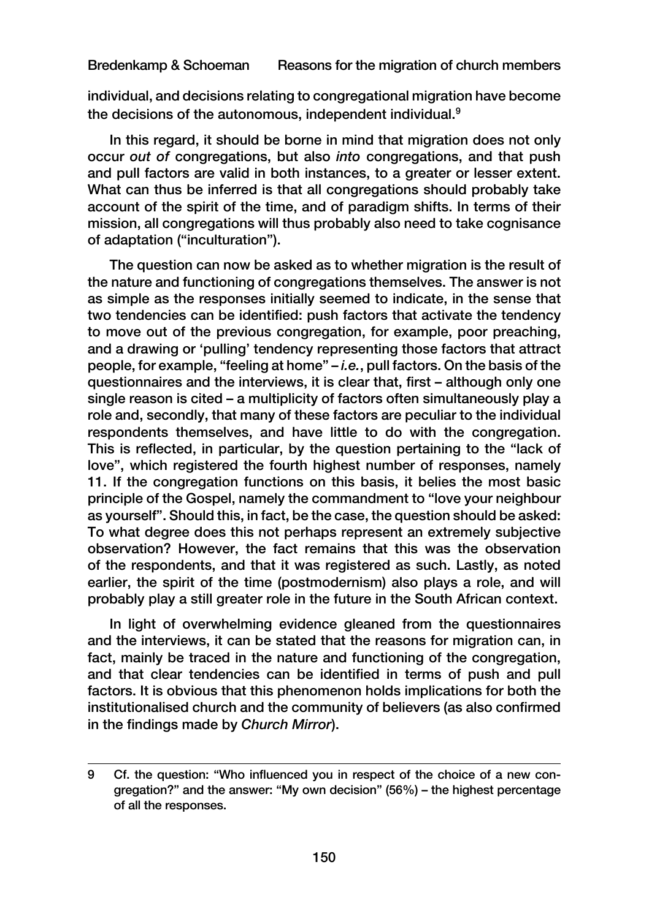individual, and decisions relating to congregational migration have become the decisions of the autonomous, independent individual.<sup>9</sup>

In this regard, it should be borne in mind that migration does not only occur *out of* congregations, but also *into* congregations, and that push and pull factors are valid in both instances, to a greater or lesser extent. What can thus be inferred is that all congregations should probably take account of the spirit of the time, and of paradigm shifts. In terms of their mission, all congregations will thus probably also need to take cognisance of adaptation ("inculturation").

The question can now be asked as to whether migration is the result of the nature and functioning of congregations themselves. The answer is not as simple as the responses initially seemed to indicate, in the sense that two tendencies can be identified: push factors that activate the tendency to move out of the previous congregation, for example, poor preaching, and a drawing or 'pulling' tendency representing those factors that attract people, for example, "feeling at home" – *i.e.*, pull factors. On the basis of the questionnaires and the interviews, it is clear that, first – although only one single reason is cited – a multiplicity of factors often simultaneously play a role and, secondly, that many of these factors are peculiar to the individual respondents themselves, and have little to do with the congregation. This is reflected, in particular, by the question pertaining to the "lack of love", which registered the fourth highest number of responses, namely 11. If the congregation functions on this basis, it belies the most basic principle of the Gospel, namely the commandment to "love your neighbour as yourself". Should this, in fact, be the case, the question should be asked: To what degree does this not perhaps represent an extremely subjective observation? However, the fact remains that this was the observation of the respondents, and that it was registered as such. Lastly, as noted earlier, the spirit of the time (postmodernism) also plays a role, and will probably play a still greater role in the future in the South African context.

In light of overwhelming evidence gleaned from the questionnaires and the interviews, it can be stated that the reasons for migration can, in fact, mainly be traced in the nature and functioning of the congregation, and that clear tendencies can be identified in terms of push and pull factors. It is obvious that this phenomenon holds implications for both the institutionalised church and the community of believers (as also confirmed in the findings made by *Church Mirror*).

<sup>9</sup> Cf. the question: "Who influenced you in respect of the choice of a new congregation?" and the answer: "My own decision" (56%) – the highest percentage of all the responses.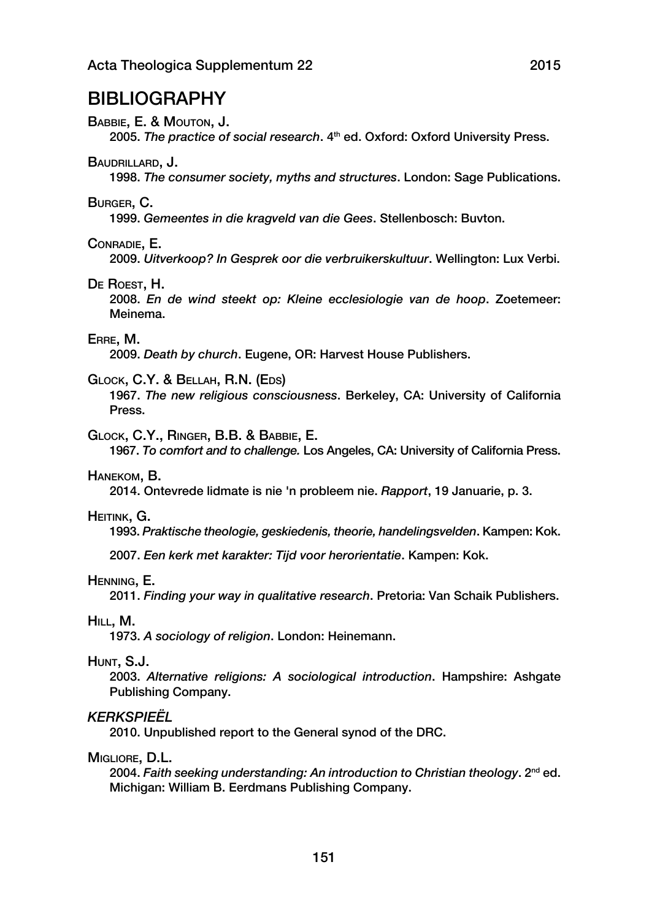### BIBLIOGRAPHY

Babbie, E. & Mouton, J.

2005. *The practice of social research*. 4<sup>th</sup> ed. Oxford: Oxford University Press.

#### BAUDRILLARD, J.

1998. *The consumer society, myths and structures*. London: Sage Publications.

#### Burger, C.

1999. *Gemeentes in die kragveld van die Gees*. Stellenbosch: Buvton.

#### Conradie, E.

2009. *Uitverkoop? In Gesprek oor die verbruikerskultuur*. Wellington: Lux Verbi.

#### De Roest, H.

2008. *En de wind steekt op: Kleine ecclesiologie van de hoop*. Zoetemeer: Meinema.

#### Erre, M.

2009. *Death by church*. Eugene, OR: Harvest House Publishers.

#### GLOCK, C.Y. & BELLAH, R.N. (EDS)

1967. *The new religious consciousness*. Berkeley, CA: University of California Press.

#### Glock, C.Y., Ringer, B.B. & Babbie, E.

1967. *To comfort and to challenge.* Los Angeles, CA: University of California Press.

#### Hanekom, B.

2014. Ontevrede lidmate is nie 'n probleem nie. *Rapport*, 19 Januarie, p. 3.

#### HEITINK, G.

1993. *Praktische theologie, geskiedenis, theorie, handelingsvelden*. Kampen: Kok.

2007. *Een kerk met karakter: Tijd voor herorientatie*. Kampen: Kok.

#### Henning, E.

2011. *Finding your way in qualitative research*. Pretoria: Van Schaik Publishers.

#### HILL, M.

1973. *A sociology of religion*. London: Heinemann.

#### Hunt, S.J.

2003. *Alternative religions: A sociological introduction*. Hampshire: Ashgate Publishing Company.

#### *KERKSPIEËL*

2010. Unpublished report to the General synod of the DRC.

#### Migliore, D.L.

2004. *Faith seeking understanding: An introduction to Christian theology*. 2nd ed. Michigan: William B. Eerdmans Publishing Company.